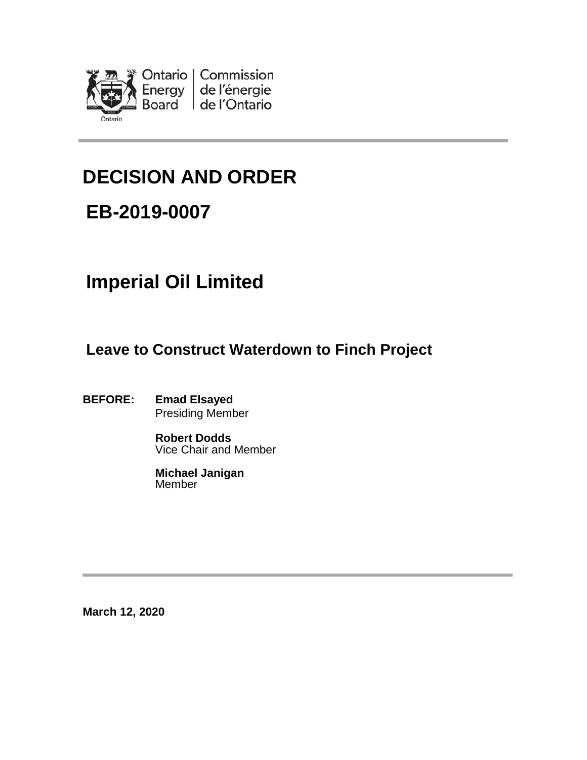

# **DECISION AND ORDER**

# **EB-2019-0007**

# **Imperial Oil Limited**

**Leave to Construct Waterdown to Finch Project**

**BEFORE: Emad Elsayed** Presiding Member

> **Robert Dodds** Vice Chair and Member

**Michael Janigan** Member

**March 12, 2020**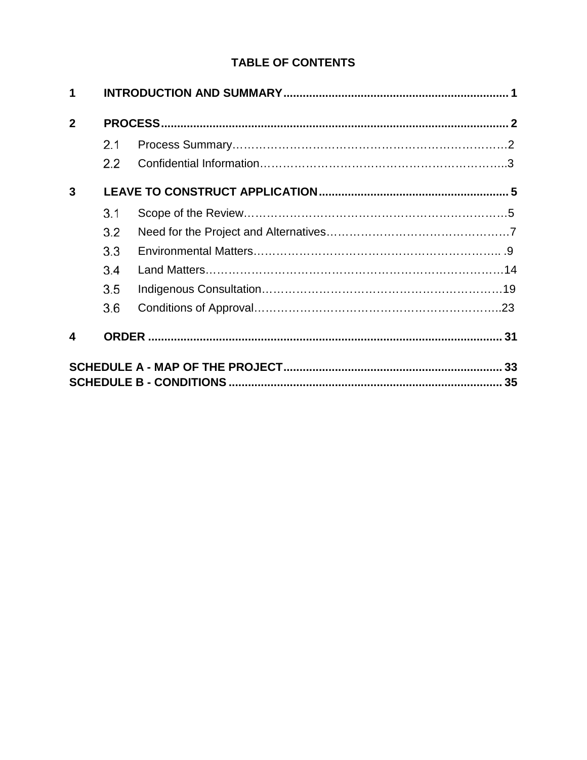## **TABLE OF CONTENTS**

| 1                       |         |  |  |
|-------------------------|---------|--|--|
| $\mathbf{2}$            |         |  |  |
|                         | 2.1     |  |  |
|                         | $2.2\,$ |  |  |
| 3                       |         |  |  |
|                         | 3.1     |  |  |
|                         | 3.2     |  |  |
|                         | 3.3     |  |  |
|                         | 3.4     |  |  |
|                         | 3.5     |  |  |
|                         | 3.6     |  |  |
| $\overline{\mathbf{4}}$ |         |  |  |
|                         |         |  |  |
|                         |         |  |  |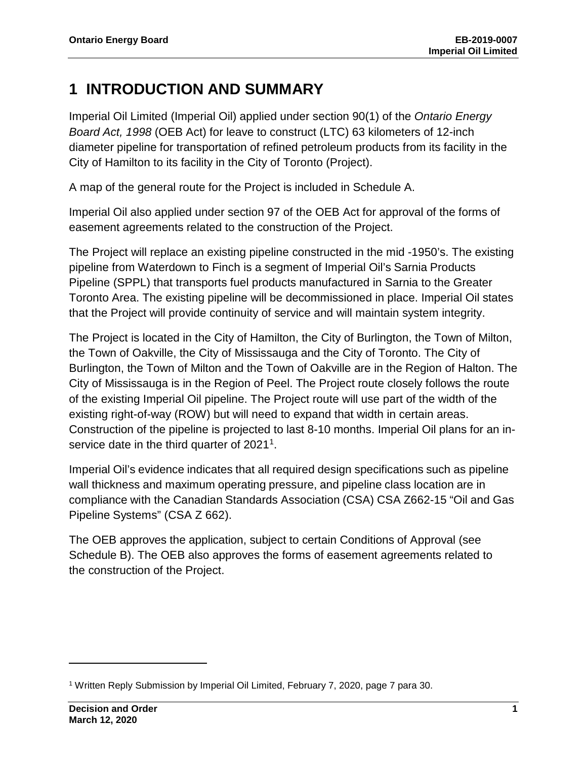## <span id="page-2-0"></span>**1 INTRODUCTION AND SUMMARY**

Imperial Oil Limited (Imperial Oil) applied under section 90(1) of the *Ontario Energy Board Act, 1998* (OEB Act) for leave to construct (LTC) 63 kilometers of 12-inch diameter pipeline for transportation of refined petroleum products from its facility in the City of Hamilton to its facility in the City of Toronto (Project).

A map of the general route for the Project is included in Schedule A.

Imperial Oil also applied under section 97 of the OEB Act for approval of the forms of easement agreements related to the construction of the Project.

The Project will replace an existing pipeline constructed in the mid -1950's. The existing pipeline from Waterdown to Finch is a segment of Imperial Oil's Sarnia Products Pipeline (SPPL) that transports fuel products manufactured in Sarnia to the Greater Toronto Area. The existing pipeline will be decommissioned in place. Imperial Oil states that the Project will provide continuity of service and will maintain system integrity.

The Project is located in the City of Hamilton, the City of Burlington, the Town of Milton, the Town of Oakville, the City of Mississauga and the City of Toronto. The City of Burlington, the Town of Milton and the Town of Oakville are in the Region of Halton. The City of Mississauga is in the Region of Peel. The Project route closely follows the route of the existing Imperial Oil pipeline. The Project route will use part of the width of the existing right-of-way (ROW) but will need to expand that width in certain areas. Construction of the pipeline is projected to last 8-10 months. Imperial Oil plans for an inservice date in the third quarter of 2021<sup>1</sup>.

Imperial Oil's evidence indicates that all required design specifications such as pipeline wall thickness and maximum operating pressure, and pipeline class location are in compliance with the Canadian Standards Association (CSA) CSA Z662-15 "Oil and Gas Pipeline Systems" (CSA Z 662).

The OEB approves the application, subject to certain Conditions of Approval (see Schedule B). The OEB also approves the forms of easement agreements related to the construction of the Project.

<span id="page-2-1"></span><sup>1</sup> Written Reply Submission by Imperial Oil Limited, February 7, 2020, page 7 para 30.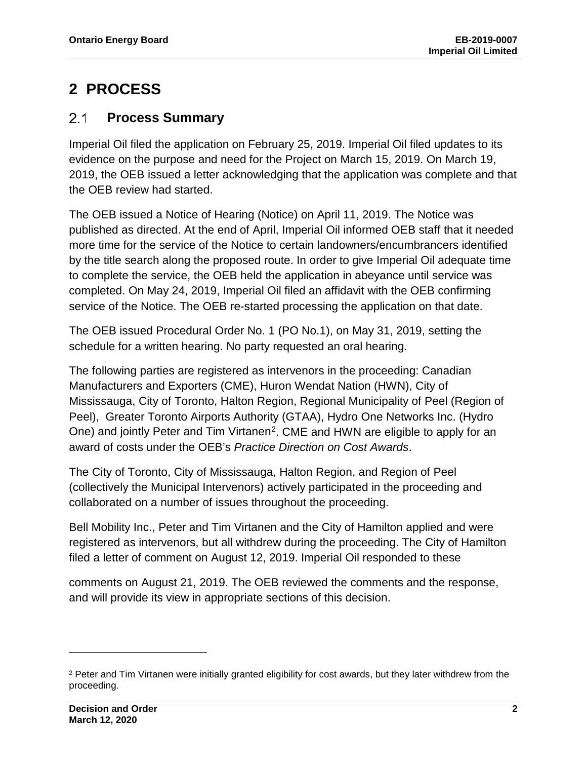## <span id="page-3-0"></span>**2 PROCESS**

#### <span id="page-3-1"></span> $2.1$ **Process Summary**

Imperial Oil filed the application on February 25, 2019. Imperial Oil filed updates to its evidence on the purpose and need for the Project on March 15, 2019. On March 19, 2019, the OEB issued a letter acknowledging that the application was complete and that the OEB review had started.

The OEB issued a Notice of Hearing (Notice) on April 11, 2019. The Notice was published as directed. At the end of April, Imperial Oil informed OEB staff that it needed more time for the service of the Notice to certain landowners/encumbrancers identified by the title search along the proposed route. In order to give Imperial Oil adequate time to complete the service, the OEB held the application in abeyance until service was completed. On May 24, 2019, Imperial Oil filed an affidavit with the OEB confirming service of the Notice. The OEB re-started processing the application on that date.

The OEB issued Procedural Order No. 1 (PO No.1), on May 31, 2019, setting the schedule for a written hearing. No party requested an oral hearing.

The following parties are registered as intervenors in the proceeding: Canadian Manufacturers and Exporters (CME), Huron Wendat Nation (HWN), City of Mississauga, City of Toronto, Halton Region, Regional Municipality of Peel (Region of Peel), Greater Toronto Airports Authority (GTAA), Hydro One Networks Inc. (Hydro One) and jointly Peter and Tim Virtanen<sup>2</sup>. CME and HWN are eligible to apply for an award of costs under the OEB's *Practice Direction on Cost Awards*.

The City of Toronto, City of Mississauga, Halton Region, and Region of Peel (collectively the Municipal Intervenors) actively participated in the proceeding and collaborated on a number of issues throughout the proceeding.

Bell Mobility Inc., Peter and Tim Virtanen and the City of Hamilton applied and were registered as intervenors, but all withdrew during the proceeding. The City of Hamilton filed a letter of comment on August 12, 2019. Imperial Oil responded to these

comments on August 21, 2019. The OEB reviewed the comments and the response, and will provide its view in appropriate sections of this decision.

<span id="page-3-2"></span><sup>&</sup>lt;sup>2</sup> Peter and Tim Virtanen were initially granted eligibility for cost awards, but they later withdrew from the proceeding.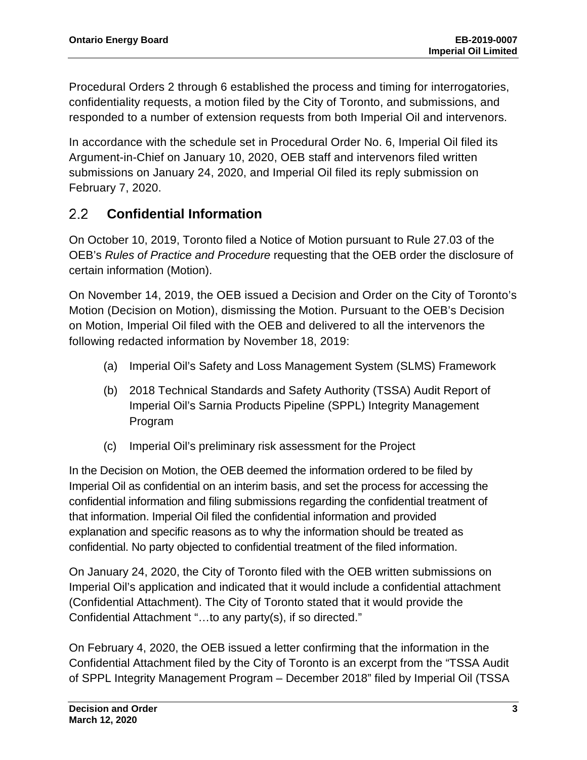Procedural Orders 2 through 6 established the process and timing for interrogatories, confidentiality requests, a motion filed by the City of Toronto, and submissions, and responded to a number of extension requests from both Imperial Oil and intervenors.

In accordance with the schedule set in Procedural Order No. 6, Imperial Oil filed its Argument-in-Chief on January 10, 2020, OEB staff and intervenors filed written submissions on January 24, 2020, and Imperial Oil filed its reply submission on February 7, 2020.

#### <span id="page-4-0"></span>**Confidential Information**  $2.2$

On October 10, 2019, Toronto filed a Notice of Motion pursuant to Rule 27.03 of the OEB's *Rules of Practice and Procedure* requesting that the OEB order the disclosure of certain information (Motion).

On November 14, 2019, the OEB issued a Decision and Order on the City of Toronto's Motion (Decision on Motion), dismissing the Motion. Pursuant to the OEB's Decision on Motion, Imperial Oil filed with the OEB and delivered to all the intervenors the following redacted information by November 18, 2019:

- (a) Imperial Oil's Safety and Loss Management System (SLMS) Framework
- (b) 2018 Technical Standards and Safety Authority (TSSA) Audit Report of Imperial Oil's Sarnia Products Pipeline (SPPL) Integrity Management Program
- (c) Imperial Oil's preliminary risk assessment for the Project

In the Decision on Motion, the OEB deemed the information ordered to be filed by Imperial Oil as confidential on an interim basis, and set the process for accessing the confidential information and filing submissions regarding the confidential treatment of that information. Imperial Oil filed the confidential information and provided explanation and specific reasons as to why the information should be treated as confidential. No party objected to confidential treatment of the filed information.

On January 24, 2020, the City of Toronto filed with the OEB written submissions on Imperial Oil's application and indicated that it would include a confidential attachment (Confidential Attachment). The City of Toronto stated that it would provide the Confidential Attachment "…to any party(s), if so directed."

On February 4, 2020, the OEB issued a letter confirming that the information in the Confidential Attachment filed by the City of Toronto is an excerpt from the "TSSA Audit of SPPL Integrity Management Program – December 2018" filed by Imperial Oil (TSSA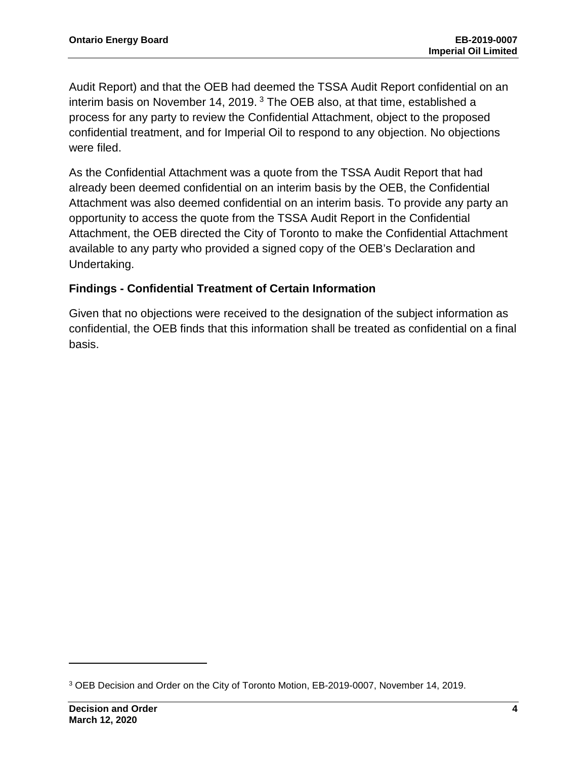Audit Report) and that the OEB had deemed the TSSA Audit Report confidential on an interim basis on November 14, 2019.  $3$  The OEB also, at that time, established a process for any party to review the Confidential Attachment, object to the proposed confidential treatment, and for Imperial Oil to respond to any objection. No objections were filed.

As the Confidential Attachment was a quote from the TSSA Audit Report that had already been deemed confidential on an interim basis by the OEB, the Confidential Attachment was also deemed confidential on an interim basis. To provide any party an opportunity to access the quote from the TSSA Audit Report in the Confidential Attachment, the OEB directed the City of Toronto to make the Confidential Attachment available to any party who provided a signed copy of the OEB's Declaration and Undertaking.

#### **Findings - Confidential Treatment of Certain Information**

Given that no objections were received to the designation of the subject information as confidential, the OEB finds that this information shall be treated as confidential on a final basis.

<span id="page-5-0"></span><sup>3</sup> OEB Decision and Order on the City of Toronto Motion, EB-2019-0007, November 14, 2019.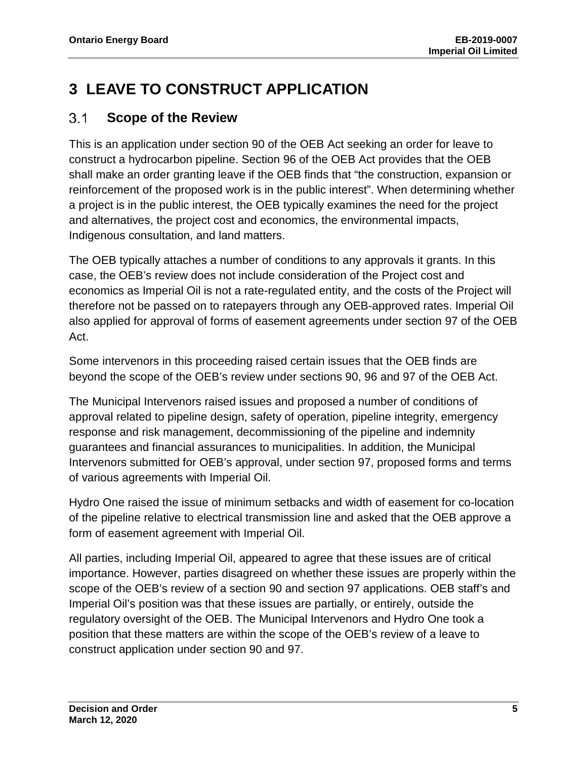## <span id="page-6-0"></span>**3 LEAVE TO CONSTRUCT APPLICATION**

#### <span id="page-6-1"></span> $3.1$ **Scope of the Review**

This is an application under section 90 of the OEB Act seeking an order for leave to construct a hydrocarbon pipeline. Section 96 of the OEB Act provides that the OEB shall make an order granting leave if the OEB finds that "the construction, expansion or reinforcement of the proposed work is in the public interest". When determining whether a project is in the public interest, the OEB typically examines the need for the project and alternatives, the project cost and economics, the environmental impacts, Indigenous consultation, and land matters.

The OEB typically attaches a number of conditions to any approvals it grants. In this case, the OEB's review does not include consideration of the Project cost and economics as Imperial Oil is not a rate-regulated entity, and the costs of the Project will therefore not be passed on to ratepayers through any OEB-approved rates. Imperial Oil also applied for approval of forms of easement agreements under section 97 of the OEB Act.

Some intervenors in this proceeding raised certain issues that the OEB finds are beyond the scope of the OEB's review under sections 90, 96 and 97 of the OEB Act.

The Municipal Intervenors raised issues and proposed a number of conditions of approval related to pipeline design, safety of operation, pipeline integrity, emergency response and risk management, decommissioning of the pipeline and indemnity guarantees and financial assurances to municipalities. In addition, the Municipal Intervenors submitted for OEB's approval, under section 97, proposed forms and terms of various agreements with Imperial Oil.

Hydro One raised the issue of minimum setbacks and width of easement for co-location of the pipeline relative to electrical transmission line and asked that the OEB approve a form of easement agreement with Imperial Oil.

All parties, including Imperial Oil, appeared to agree that these issues are of critical importance. However, parties disagreed on whether these issues are properly within the scope of the OEB's review of a section 90 and section 97 applications. OEB staff's and Imperial Oil's position was that these issues are partially, or entirely, outside the regulatory oversight of the OEB. The Municipal Intervenors and Hydro One took a position that these matters are within the scope of the OEB's review of a leave to construct application under section 90 and 97.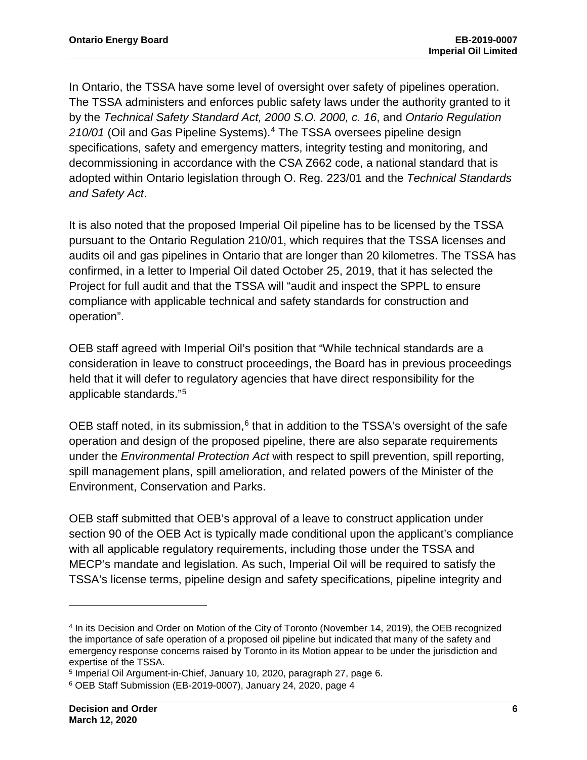In Ontario, the TSSA have some level of oversight over safety of pipelines operation. The TSSA administers and enforces public safety laws under the authority granted to it by the *Technical Safety Standard Act, 2000 S.O. 2000, c. 16*, and *Ontario Regulation 210/01* (Oil and Gas Pipeline Systems).[4](#page-7-0) The TSSA oversees pipeline design specifications, safety and emergency matters, integrity testing and monitoring, and decommissioning in accordance with the CSA Z662 code, a national standard that is adopted within Ontario legislation throug[h](https://www.ontario.ca/laws/regulation/010223) [O.](https://www.ontario.ca/laws/regulation/010223) [Reg.](https://www.ontario.ca/laws/regulation/010223) [223/01](https://www.ontario.ca/laws/regulation/010223) [an](https://www.ontario.ca/laws/regulation/010223)d the *[Technical](https://www.ontario.ca/laws/statute/00t16) [Standards](https://www.ontario.ca/laws/statute/00t16) [and](https://www.ontario.ca/laws/statute/00t16) [Safety](https://www.ontario.ca/laws/statute/00t16) [Act](https://www.ontario.ca/laws/statute/00t16)*[.](https://www.ontario.ca/laws/statute/00t16)

It is also noted that the proposed Imperial Oil pipeline has to be licensed by the TSSA pursuant to the Ontario Regulation 210/01, which requires that the TSSA licenses and audits oil and gas pipelines in Ontario that are longer than 20 kilometres. The TSSA has confirmed, in a letter to Imperial Oil dated October 25, 2019, that it has selected the Project for full audit and that the TSSA will "audit and inspect the SPPL to ensure compliance with applicable technical and safety standards for construction and operation".

OEB staff agreed with Imperial Oil's position that "While technical standards are a consideration in leave to construct proceedings, the Board has in previous proceedings held that it will defer to regulatory agencies that have direct responsibility for the applicable standards."[5](#page-7-1)

OEB staff noted, in its submission, $6$  that in addition to the TSSA's oversight of the safe operation and design of the proposed pipeline, there are also separate requirements under the *Environmental Protection Act* with respect to spill prevention, spill reporting, spill management plans, spill amelioration, and related powers of the Minister of the Environment, Conservation and Parks.

OEB staff submitted that OEB's approval of a leave to construct application under section 90 of the OEB Act is typically made conditional upon the applicant's compliance with all applicable regulatory requirements, including those under the TSSA and MECP's mandate and legislation. As such, Imperial Oil will be required to satisfy the TSSA's license terms, pipeline design and safety specifications, pipeline integrity and

<span id="page-7-0"></span><sup>4</sup> In its Decision and Order on Motion of the City of Toronto (November 14, 2019), the OEB recognized the importance of safe operation of a proposed oil pipeline but indicated that many of the safety and emergency response concerns raised by Toronto in its Motion appear to be under the jurisdiction and expertise of the TSSA.

<span id="page-7-1"></span><sup>5</sup> Imperial Oil Argument-in-Chief, January 10, 2020, paragraph 27, page 6.

<span id="page-7-2"></span><sup>6</sup> OEB Staff Submission (EB-2019-0007), January 24, 2020, page 4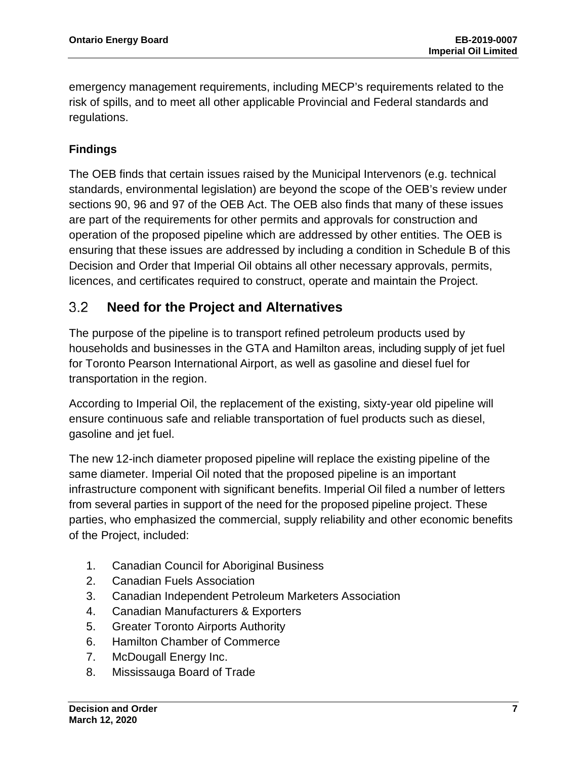emergency management requirements, including MECP's requirements related to the risk of spills, and to meet all other applicable Provincial and Federal standards and regulations.

## **Findings**

The OEB finds that certain issues raised by the Municipal Intervenors (e.g. technical standards, environmental legislation) are beyond the scope of the OEB's review under sections 90, 96 and 97 of the OEB Act. The OEB also finds that many of these issues are part of the requirements for other permits and approvals for construction and operation of the proposed pipeline which are addressed by other entities. The OEB is ensuring that these issues are addressed by including a condition in Schedule B of this Decision and Order that Imperial Oil obtains all other necessary approvals, permits, licences, and certificates required to construct, operate and maintain the Project.

#### <span id="page-8-0"></span> $3.2$ **Need for the Project and Alternatives**

The purpose of the pipeline is to transport refined petroleum products used by households and businesses in the GTA and Hamilton areas, including supply of jet fuel for Toronto Pearson International Airport, as well as gasoline and diesel fuel for transportation in the region.

According to Imperial Oil, the replacement of the existing, sixty-year old pipeline will ensure continuous safe and reliable transportation of fuel products such as diesel, gasoline and jet fuel.

The new 12-inch diameter proposed pipeline will replace the existing pipeline of the same diameter. Imperial Oil noted that the proposed pipeline is an important infrastructure component with significant benefits. Imperial Oil filed a number of letters from several parties in support of the need for the proposed pipeline project. These parties, who emphasized the commercial, supply reliability and other economic benefits of the Project, included:

- 1. Canadian Council for Aboriginal Business
- 2. Canadian Fuels Association
- 3. Canadian Independent Petroleum Marketers Association
- 4. Canadian Manufacturers & Exporters
- 5. Greater Toronto Airports Authority
- 6. Hamilton Chamber of Commerce
- 7. McDougall Energy Inc.
- 8. Mississauga Board of Trade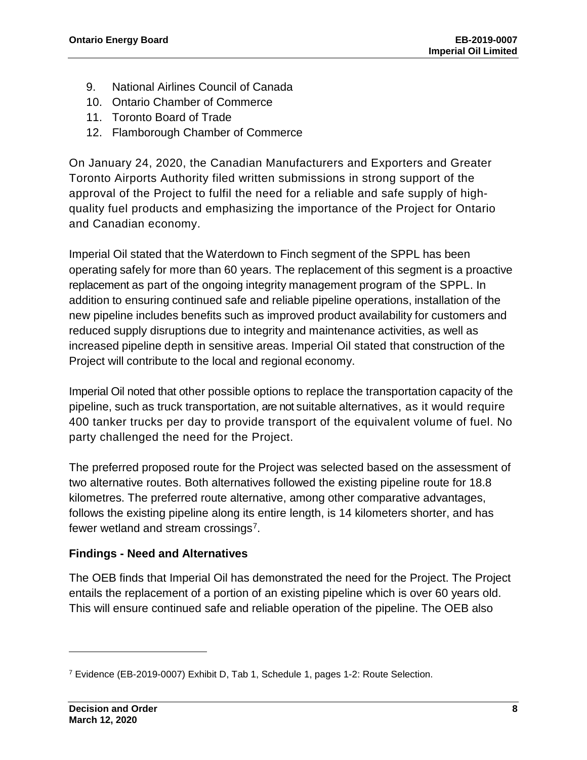- 9. National Airlines Council of Canada
- 10. Ontario Chamber of Commerce
- 11. Toronto Board of Trade
- 12. Flamborough Chamber of Commerce

On January 24, 2020, the Canadian Manufacturers and Exporters and Greater Toronto Airports Authority filed written submissions in strong support of the approval of the Project to fulfil the need for a reliable and safe supply of highquality fuel products and emphasizing the importance of the Project for Ontario and Canadian economy.

Imperial Oil stated that the Waterdown to Finch segment of the SPPL has been operating safely for more than 60 years. The replacement of this segment is a proactive replacement as part of the ongoing integrity management program of the SPPL. In addition to ensuring continued safe and reliable pipeline operations, installation of the new pipeline includes benefits such as improved product availability for customers and reduced supply disruptions due to integrity and maintenance activities, as well as increased pipeline depth in sensitive areas. Imperial Oil stated that construction of the Project will contribute to the local and regional economy.

Imperial Oil noted that other possible options to replace the transportation capacity of the pipeline, such as truck transportation, are not suitable alternatives, as it would require 400 tanker trucks per day to provide transport of the equivalent volume of fuel. No party challenged the need for the Project.

The preferred proposed route for the Project was selected based on the assessment of two alternative routes. Both alternatives followed the existing pipeline route for 18.8 kilometres. The preferred route alternative, among other comparative advantages, follows the existing pipeline along its entire length, is 14 kilometers shorter, and has fewer wetland and stream crossings<sup>[7](#page-9-0)</sup>.

### **Findings - Need and Alternatives**

The OEB finds that Imperial Oil has demonstrated the need for the Project. The Project entails the replacement of a portion of an existing pipeline which is over 60 years old. This will ensure continued safe and reliable operation of the pipeline. The OEB also

<span id="page-9-0"></span><sup>7</sup> Evidence (EB-2019-0007) Exhibit D, Tab 1, Schedule 1, pages 1-2: Route Selection.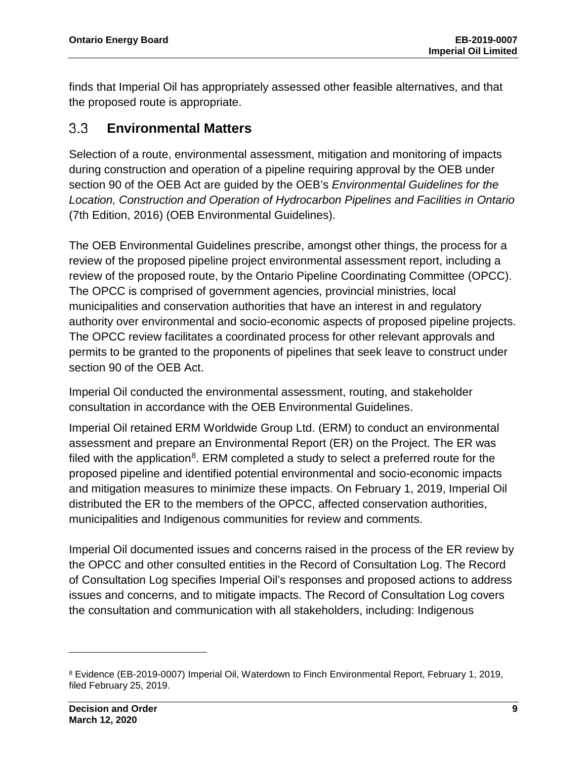finds that Imperial Oil has appropriately assessed other feasible alternatives, and that the proposed route is appropriate.

#### <span id="page-10-0"></span> $3.3$ **Environmental Matters**

Selection of a route, environmental assessment, mitigation and monitoring of impacts during construction and operation of a pipeline requiring approval by the OEB under section 90 of the OEB Act are guided by the OEB's *Environmental Guidelines for the Location, Construction and Operation of Hydrocarbon Pipelines and Facilities in Ontario*  (7th Edition, 2016) (OEB Environmental Guidelines).

The OEB Environmental Guidelines prescribe, amongst other things, the process for a review of the proposed pipeline project environmental assessment report, including a review of the proposed route, by the Ontario Pipeline Coordinating Committee (OPCC). The OPCC is comprised of government agencies, provincial ministries, local municipalities and conservation authorities that have an interest in and regulatory authority over environmental and socio-economic aspects of proposed pipeline projects. The OPCC review facilitates a coordinated process for other relevant approvals and permits to be granted to the proponents of pipelines that seek leave to construct under section 90 of the OEB Act.

Imperial Oil conducted the environmental assessment, routing, and stakeholder consultation in accordance with the OEB Environmental Guidelines.

Imperial Oil retained ERM Worldwide Group Ltd. (ERM) to conduct an environmental assessment and prepare an Environmental Report (ER) on the Project. The ER was filed with the application<sup>[8](#page-10-1)</sup>. ERM completed a study to select a preferred route for the proposed pipeline and identified potential environmental and socio-economic impacts and mitigation measures to minimize these impacts. On February 1, 2019, Imperial Oil distributed the ER to the members of the OPCC, affected conservation authorities, municipalities and Indigenous communities for review and comments.

Imperial Oil documented issues and concerns raised in the process of the ER review by the OPCC and other consulted entities in the Record of Consultation Log. The Record of Consultation Log specifies Imperial Oil's responses and proposed actions to address issues and concerns, and to mitigate impacts. The Record of Consultation Log covers the consultation and communication with all stakeholders, including: Indigenous

<span id="page-10-1"></span><sup>8</sup> Evidence (EB-2019-0007) Imperial Oil, Waterdown to Finch Environmental Report, February 1, 2019, filed February 25, 2019.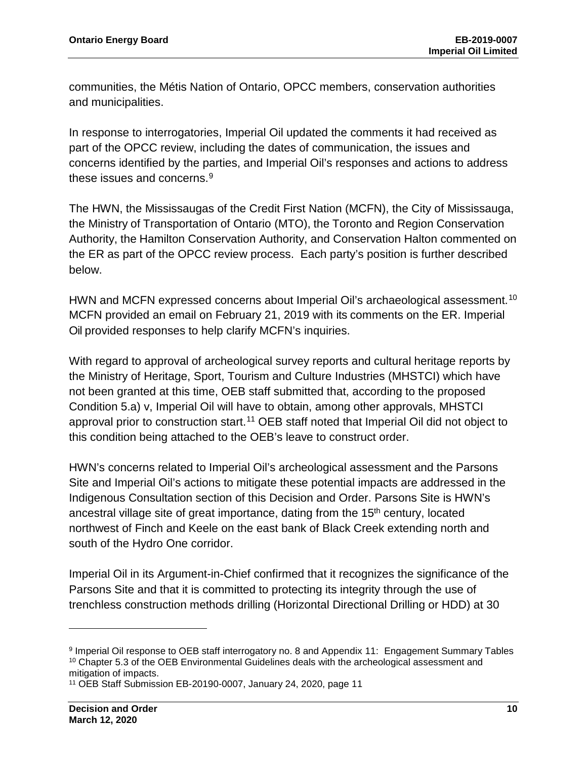communities, the Métis Nation of Ontario, OPCC members, conservation authorities and municipalities.

In response to interrogatories, Imperial Oil updated the comments it had received as part of the OPCC review, including the dates of communication, the issues and concerns identified by the parties, and Imperial Oil's responses and actions to address these issues and concerns.<sup>[9](#page-11-0)</sup>

The HWN, the Mississaugas of the Credit First Nation (MCFN), the City of Mississauga, the Ministry of Transportation of Ontario (MTO), the Toronto and Region Conservation Authority, the Hamilton Conservation Authority, and Conservation Halton commented on the ER as part of the OPCC review process. Each party's position is further described below.

HWN and MCFN expressed concerns about Imperial Oil's archaeological assessment.<sup>[10](#page-11-1)</sup> MCFN provided an email on February 21, 2019 with its comments on the ER. Imperial Oil provided responses to help clarify MCFN's inquiries.

With regard to approval of archeological survey reports and cultural heritage reports by the Ministry of Heritage, Sport, Tourism and Culture Industries (MHSTCI) which have not been granted at this time, OEB staff submitted that, according to the proposed Condition 5.a) v, Imperial Oil will have to obtain, among other approvals, MHSTCI approval prior to construction start.<sup>[11](#page-11-2)</sup> OEB staff noted that Imperial Oil did not object to this condition being attached to the OEB's leave to construct order.

HWN's concerns related to Imperial Oil's archeological assessment and the Parsons Site and Imperial Oil's actions to mitigate these potential impacts are addressed in the Indigenous Consultation section of this Decision and Order. Parsons Site is HWN's ancestral village site of great importance, dating from the 15<sup>th</sup> century, located northwest of Finch and Keele on the east bank of Black Creek extending north and south of the Hydro One corridor.

Imperial Oil in its Argument-in-Chief confirmed that it recognizes the significance of the Parsons Site and that it is committed to protecting its integrity through the use of trenchless construction methods drilling (Horizontal Directional Drilling or HDD) at 30

<span id="page-11-1"></span><span id="page-11-0"></span><sup>9</sup> Imperial Oil response to OEB staff interrogatory no. 8 and Appendix 11: Engagement Summary Tables <sup>10</sup> Chapter 5.3 of the OEB Environmental Guidelines deals with the archeological assessment and mitigation of impacts.

<span id="page-11-2"></span><sup>11</sup> OEB Staff Submission EB-20190-0007, January 24, 2020, page 11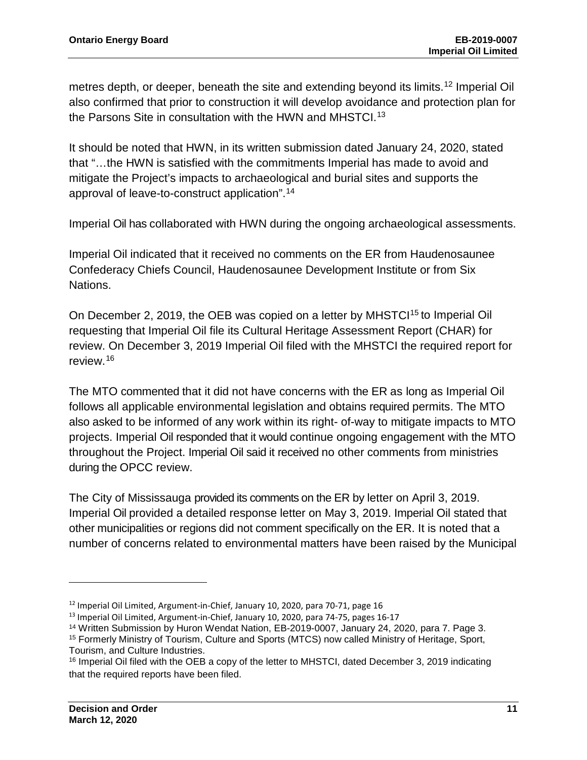metres depth, or deeper, beneath the site and extending beyond its limits.<sup>[12](#page-12-0)</sup> Imperial Oil also confirmed that prior to construction it will develop avoidance and protection plan for the Parsons Site in consultation with the HWN and MHSTCI.<sup>[13](#page-12-1)</sup>

It should be noted that HWN, in its written submission dated January 24, 2020, stated that "…the HWN is satisfied with the commitments Imperial has made to avoid and mitigate the Project's impacts to archaeological and burial sites and supports the approval of leave-to-construct application".[14](#page-12-2)

Imperial Oil has collaborated with HWN during the ongoing archaeological assessments.

Imperial Oil indicated that it received no comments on the ER from Haudenosaunee Confederacy Chiefs Council, Haudenosaunee Development Institute or from Six Nations.

On December 2, 2019, the OEB was copied on a letter by MHSTCI<sup>[15](#page-12-3)</sup> to Imperial Oil requesting that Imperial Oil file its Cultural Heritage Assessment Report (CHAR) for review. On December 3, 2019 Imperial Oil filed with the MHSTCI the required report for review.[16](#page-12-4)

The MTO commented that it did not have concerns with the ER as long as Imperial Oil follows all applicable environmental legislation and obtains required permits. The MTO also asked to be informed of any work within its right- of-way to mitigate impacts to MTO projects. Imperial Oil responded that it would continue ongoing engagement with the MTO throughout the Project. Imperial Oil said it received no other comments from ministries during the OPCC review.

The City of Mississauga provided its comments on the ER by letter on April 3, 2019. Imperial Oil provided a detailed response letter on May 3, 2019. Imperial Oil stated that other municipalities or regions did not comment specifically on the ER. It is noted that a number of concerns related to environmental matters have been raised by the Municipal

<span id="page-12-0"></span><sup>&</sup>lt;sup>12</sup> Imperial Oil Limited, Argument-in-Chief, January 10, 2020, para 70-71, page 16

<span id="page-12-1"></span><sup>&</sup>lt;sup>13</sup> Imperial Oil Limited, Argument-in-Chief, January 10, 2020, para 74-75, pages 16-17

<span id="page-12-2"></span><sup>&</sup>lt;sup>14</sup> Written Submission by Huron Wendat Nation, EB-2019-0007, January 24, 2020, para 7. Page 3.

<span id="page-12-3"></span><sup>15</sup> Formerly Ministry of Tourism, Culture and Sports (MTCS) now called Ministry of Heritage, Sport, Tourism, and Culture Industries.

<span id="page-12-4"></span><sup>&</sup>lt;sup>16</sup> Imperial Oil filed with the OEB a copy of the letter to MHSTCI, dated December 3, 2019 indicating that the required reports have been filed.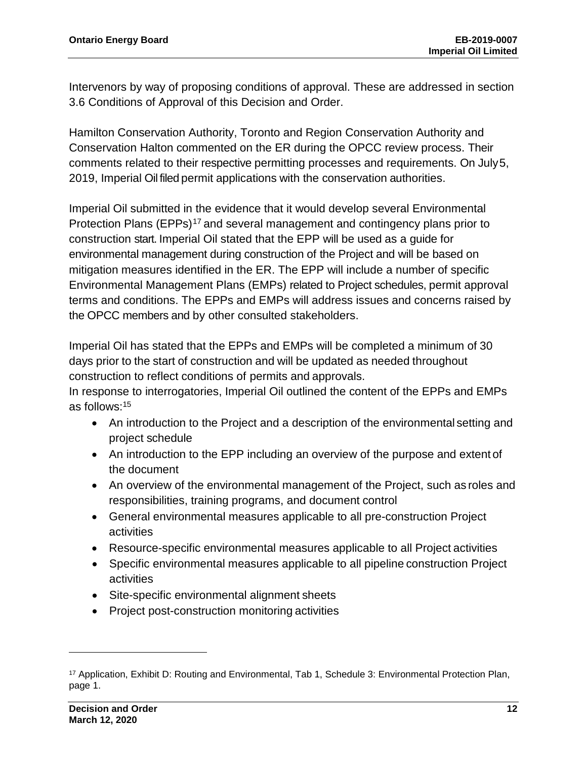Intervenors by way of proposing conditions of approval. These are addressed in section 3.6 Conditions of Approval of this Decision and Order.

Hamilton Conservation Authority, Toronto and Region Conservation Authority and Conservation Halton commented on the ER during the OPCC review process. Their comments related to their respective permitting processes and requirements. On July5, 2019, Imperial Oil filed permit applications with the conservation authorities.

Imperial Oil submitted in the evidence that it would develop several Environmental Protection Plans (EPPs)<sup>[17](#page-13-0)</sup> and several management and contingency plans prior to construction start. Imperial Oil stated that the EPP will be used as a guide for environmental management during construction of the Project and will be based on mitigation measures identified in the ER. The EPP will include a number of specific Environmental Management Plans (EMPs) related to Project schedules, permit approval terms and conditions. The EPPs and EMPs will address issues and concerns raised by the OPCC members and by other consulted stakeholders.

Imperial Oil has stated that the EPPs and EMPs will be completed a minimum of 30 days prior to the start of construction and will be updated as needed throughout construction to reflect conditions of permits and approvals.

In response to interrogatories, Imperial Oil outlined the content of the EPPs and EMPs as follows:15

- An introduction to the Project and a description of the environmental setting and project schedule
- An introduction to the EPP including an overview of the purpose and extent of the document
- An overview of the environmental management of the Project, such as roles and responsibilities, training programs, and document control
- General environmental measures applicable to all pre-construction Project activities
- Resource-specific environmental measures applicable to all Project activities
- Specific environmental measures applicable to all pipeline construction Project activities
- Site-specific environmental alignment sheets
- Project post-construction monitoring activities

<span id="page-13-0"></span><sup>17</sup> Application, Exhibit D: Routing and Environmental, Tab 1, Schedule 3: Environmental Protection Plan, page 1.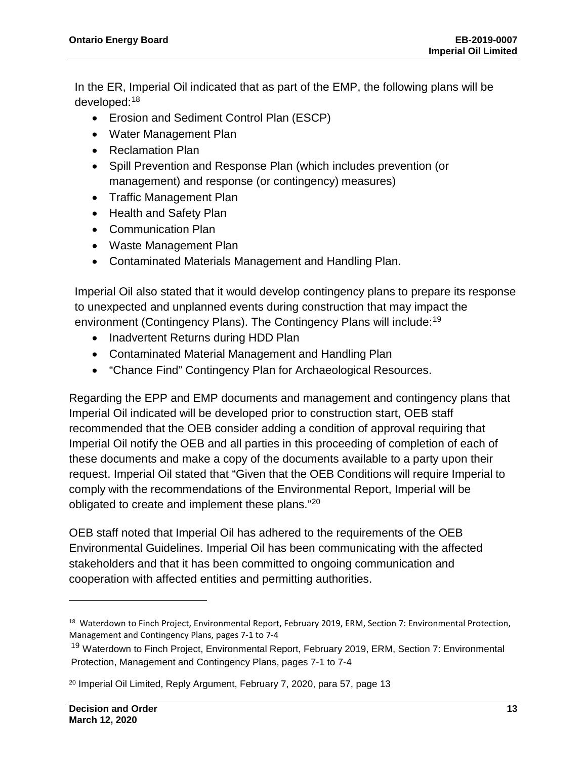In the ER, Imperial Oil indicated that as part of the EMP, the following plans will be developed:[18](#page-14-0)

- Erosion and Sediment Control Plan (ESCP)
- Water Management Plan
- Reclamation Plan
- Spill Prevention and Response Plan (which includes prevention (or management) and response (or contingency) measures)
- Traffic Management Plan
- Health and Safety Plan
- Communication Plan
- Waste Management Plan
- Contaminated Materials Management and Handling Plan.

Imperial Oil also stated that it would develop contingency plans to prepare its response to unexpected and unplanned events during construction that may impact the environment (Contingency Plans). The Contingency Plans will include:<sup>[19](#page-14-1)</sup>

- Inadvertent Returns during HDD Plan
- Contaminated Material Management and Handling Plan
- "Chance Find" Contingency Plan for Archaeological Resources.

Regarding the EPP and EMP documents and management and contingency plans that Imperial Oil indicated will be developed prior to construction start, OEB staff recommended that the OEB consider adding a condition of approval requiring that Imperial Oil notify the OEB and all parties in this proceeding of completion of each of these documents and make a copy of the documents available to a party upon their request. Imperial Oil stated that "Given that the OEB Conditions will require Imperial to comply with the recommendations of the Environmental Report, Imperial will be obligated to create and implement these plans."[20](#page-14-2)

OEB staff noted that Imperial Oil has adhered to the requirements of the OEB Environmental Guidelines. Imperial Oil has been communicating with the affected stakeholders and that it has been committed to ongoing communication and cooperation with affected entities and permitting authorities.

<span id="page-14-0"></span><sup>&</sup>lt;sup>18</sup> Waterdown to Finch Project, Environmental Report, February 2019, ERM, Section 7: Environmental Protection, Management and Contingency Plans, pages 7-1 to 7-4

<span id="page-14-1"></span><sup>19</sup> Waterdown to Finch Project, Environmental Report, February 2019, ERM, Section 7: Environmental Protection, Management and Contingency Plans, pages 7-1 to 7-4

<span id="page-14-2"></span><sup>20</sup> Imperial Oil Limited, Reply Argument, February 7, 2020, para 57, page 13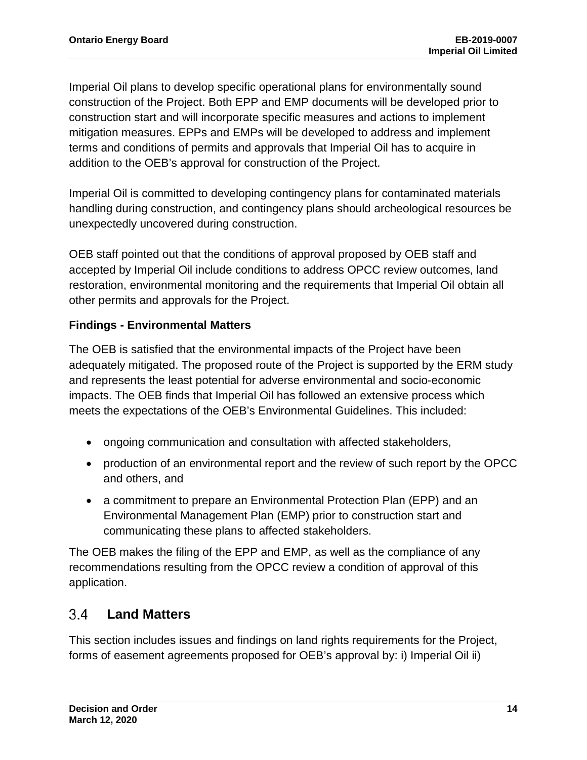Imperial Oil plans to develop specific operational plans for environmentally sound construction of the Project. Both EPP and EMP documents will be developed prior to construction start and will incorporate specific measures and actions to implement mitigation measures. EPPs and EMPs will be developed to address and implement terms and conditions of permits and approvals that Imperial Oil has to acquire in addition to the OEB's approval for construction of the Project.

Imperial Oil is committed to developing contingency plans for contaminated materials handling during construction, and contingency plans should archeological resources be unexpectedly uncovered during construction.

OEB staff pointed out that the conditions of approval proposed by OEB staff and accepted by Imperial Oil include conditions to address OPCC review outcomes, land restoration, environmental monitoring and the requirements that Imperial Oil obtain all other permits and approvals for the Project.

#### **Findings - Environmental Matters**

The OEB is satisfied that the environmental impacts of the Project have been adequately mitigated. The proposed route of the Project is supported by the ERM study and represents the least potential for adverse environmental and socio-economic impacts. The OEB finds that Imperial Oil has followed an extensive process which meets the expectations of the OEB's Environmental Guidelines. This included:

- ongoing communication and consultation with affected stakeholders,
- production of an environmental report and the review of such report by the OPCC and others, and
- a commitment to prepare an Environmental Protection Plan (EPP) and an Environmental Management Plan (EMP) prior to construction start and communicating these plans to affected stakeholders.

The OEB makes the filing of the EPP and EMP, as well as the compliance of any recommendations resulting from the OPCC review a condition of approval of this application.

#### <span id="page-15-0"></span> $3.4$ **Land Matters**

This section includes issues and findings on land rights requirements for the Project, forms of easement agreements proposed for OEB's approval by: i) Imperial Oil ii)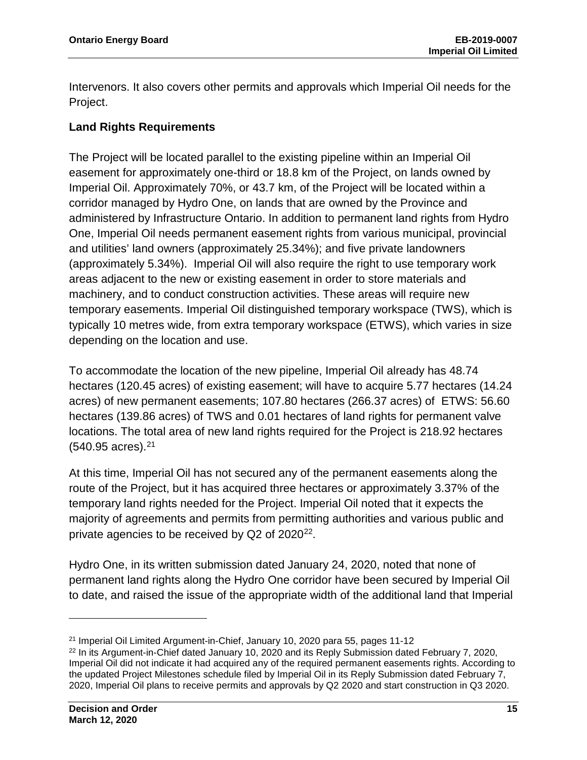Intervenors. It also covers other permits and approvals which Imperial Oil needs for the Project.

#### **Land Rights Requirements**

The Project will be located parallel to the existing pipeline within an Imperial Oil easement for approximately one-third or 18.8 km of the Project, on lands owned by Imperial Oil. Approximately 70%, or 43.7 km, of the Project will be located within a corridor managed by Hydro One, on lands that are owned by the Province and administered by Infrastructure Ontario. In addition to permanent land rights from Hydro One, Imperial Oil needs permanent easement rights from various municipal, provincial and utilities' land owners (approximately 25.34%); and five private landowners (approximately 5.34%). Imperial Oil will also require the right to use temporary work areas adjacent to the new or existing easement in order to store materials and machinery, and to conduct construction activities. These areas will require new temporary easements. Imperial Oil distinguished temporary workspace (TWS), which is typically 10 metres wide, from extra temporary workspace (ETWS), which varies in size depending on the location and use.

To accommodate the location of the new pipeline, Imperial Oil already has 48.74 hectares (120.45 acres) of existing easement; will have to acquire 5.77 hectares (14.24 acres) of new permanent easements; 107.80 hectares (266.37 acres) of ETWS: 56.60 hectares (139.86 acres) of TWS and 0.01 hectares of land rights for permanent valve locations. The total area of new land rights required for the Project is 218.92 hectares (540.95 acres). [21](#page-16-0)

At this time, Imperial Oil has not secured any of the permanent easements along the route of the Project, but it has acquired three hectares or approximately 3.37% of the temporary land rights needed for the Project. Imperial Oil noted that it expects the majority of agreements and permits from permitting authorities and various public and private agencies to be received by Q2 of 2020<sup>[22](#page-16-1)</sup>.

Hydro One, in its written submission dated January 24, 2020, noted that none of permanent land rights along the Hydro One corridor have been secured by Imperial Oil to date, and raised the issue of the appropriate width of the additional land that Imperial

<span id="page-16-0"></span><sup>21</sup> Imperial Oil Limited Argument-in-Chief, January 10, 2020 para 55, pages 11-12

<span id="page-16-1"></span><sup>&</sup>lt;sup>22</sup> In its Argument-in-Chief dated January 10, 2020 and its Reply Submission dated February 7, 2020, Imperial Oil did not indicate it had acquired any of the required permanent easements rights. According to the updated Project Milestones schedule filed by Imperial Oil in its Reply Submission dated February 7, 2020, Imperial Oil plans to receive permits and approvals by Q2 2020 and start construction in Q3 2020.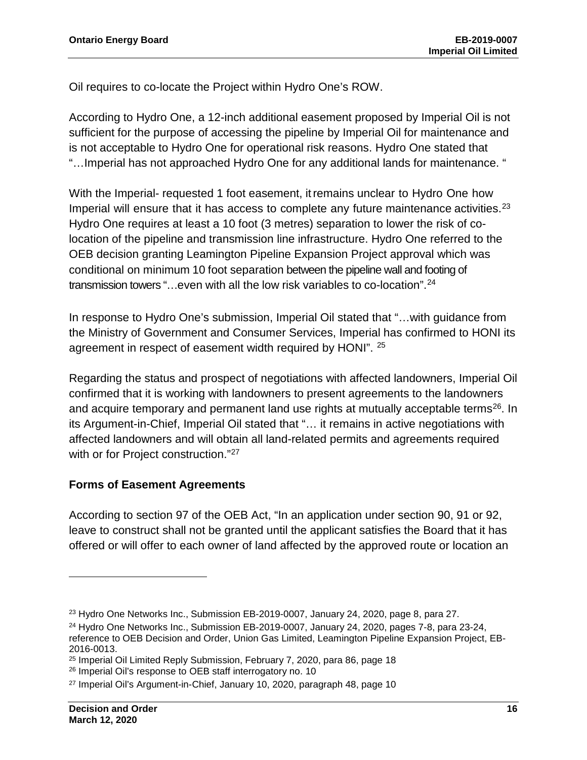Oil requires to co-locate the Project within Hydro One's ROW.

According to Hydro One, a 12-inch additional easement proposed by Imperial Oil is not sufficient for the purpose of accessing the pipeline by Imperial Oil for maintenance and is not acceptable to Hydro One for operational risk reasons. Hydro One stated that "…Imperial has not approached Hydro One for any additional lands for maintenance. "

With the Imperial- requested 1 foot easement, itremains unclear to Hydro One how Imperial will ensure that it has access to complete any future maintenance activities.<sup>[23](#page-17-0)</sup> Hydro One requires at least a 10 foot (3 metres) separation to lower the risk of colocation of the pipeline and transmission line infrastructure. Hydro One referred to the OEB decision granting Leamington Pipeline Expansion Project approval which was conditional on minimum 10 foot separation between the pipeline wall and footing of transmission towers "…even with all the low risk variables to co-location".[24](#page-17-1)

In response to Hydro One's submission, Imperial Oil stated that "…with guidance from the Ministry of Government and Consumer Services, Imperial has confirmed to HONI its agreement in respect of easement width required by HONI". <sup>[25](#page-17-2)</sup>

Regarding the status and prospect of negotiations with affected landowners, Imperial Oil confirmed that it is working with landowners to present agreements to the landowners and acquire temporary and permanent land use rights at mutually acceptable terms<sup>[26](#page-17-3)</sup>. In its Argument-in-Chief, Imperial Oil stated that "… it remains in active negotiations with affected landowners and will obtain all land-related permits and agreements required with or for Project construction."<sup>[27](#page-17-4)</sup>

#### **Forms of Easement Agreements**

According to section 97 of the OEB Act, "In an application under section 90, 91 or 92, leave to construct shall not be granted until the applicant satisfies the Board that it has offered or will offer to each owner of land affected by the approved route or location an

<span id="page-17-0"></span> $23$  Hydro One Networks Inc., Submission EB-2019-0007, January 24, 2020, page 8, para 27.

<span id="page-17-1"></span> $24$  Hydro One Networks Inc., Submission EB-2019-0007, January 24, 2020, pages 7-8, para 23-24, reference to OEB Decision and Order, Union Gas Limited, Leamington Pipeline Expansion Project, EB-2016-0013.

<span id="page-17-2"></span><sup>25</sup> Imperial Oil Limited Reply Submission, February 7, 2020, para 86, page 18

<span id="page-17-3"></span><sup>26</sup> Imperial Oil's response to OEB staff interrogatory no. 10

<span id="page-17-4"></span><sup>27</sup> Imperial Oil's Argument-in-Chief, January 10, 2020, paragraph 48, page 10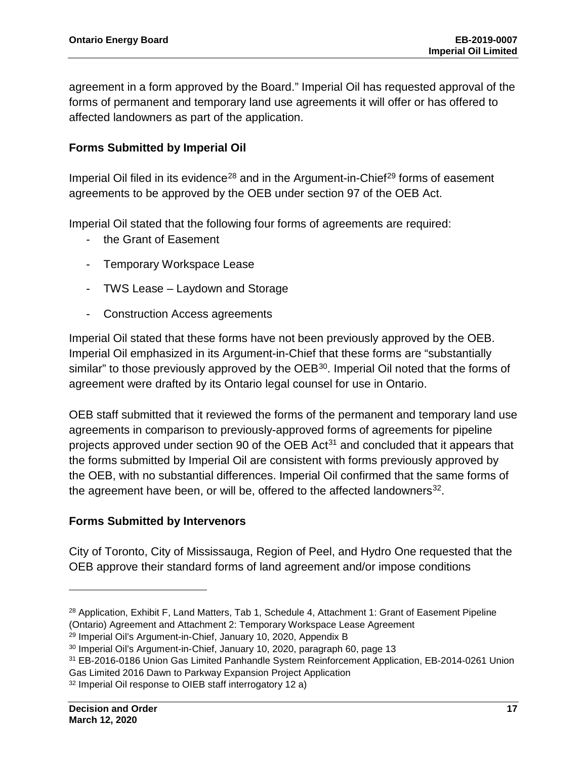agreement in a form approved by the Board." Imperial Oil has requested approval of the forms of permanent and temporary land use agreements it will offer or has offered to affected landowners as part of the application.

#### **Forms Submitted by Imperial Oil**

Imperial Oil filed in its evidence<sup>[28](#page-18-0)</sup> and in the Argument-in-Chief<sup>[29](#page-18-1)</sup> forms of easement agreements to be approved by the OEB under section 97 of the OEB Act.

Imperial Oil stated that the following four forms of agreements are required:

- the Grant of Easement
- Temporary Workspace Lease
- TWS Lease Laydown and Storage
- Construction Access agreements

Imperial Oil stated that these forms have not been previously approved by the OEB. Imperial Oil emphasized in its Argument-in-Chief that these forms are "substantially similar" to those previously approved by the OEB<sup>30</sup>. Imperial Oil noted that the forms of agreement were drafted by its Ontario legal counsel for use in Ontario.

OEB staff submitted that it reviewed the forms of the permanent and temporary land use agreements in comparison to previously-approved forms of agreements for pipeline projects approved under section 90 of the OEB Act<sup>[31](#page-18-3)</sup> and concluded that it appears that the forms submitted by Imperial Oil are consistent with forms previously approved by the OEB, with no substantial differences. Imperial Oil confirmed that the same forms of the agreement have been, or will be, offered to the affected landowners $32$ .

#### **Forms Submitted by Intervenors**

City of Toronto, City of Mississauga, Region of Peel, and Hydro One requested that the OEB approve their standard forms of land agreement and/or impose conditions

<span id="page-18-0"></span><sup>&</sup>lt;sup>28</sup> Application, Exhibit F, Land Matters, Tab 1, Schedule 4, Attachment 1: Grant of Easement Pipeline (Ontario) Agreement and Attachment 2: Temporary Workspace Lease Agreement

<span id="page-18-1"></span><sup>29</sup> Imperial Oil's Argument-in-Chief, January 10, 2020, Appendix B

<span id="page-18-2"></span><sup>30</sup> Imperial Oil's Argument-in-Chief, January 10, 2020, paragraph 60, page 13

<span id="page-18-3"></span><sup>31</sup> EB-2016-0186 Union Gas Limited Panhandle System Reinforcement Application, EB-2014-0261 Union Gas Limited 2016 Dawn to Parkway Expansion Project Application

<span id="page-18-4"></span><sup>32</sup> Imperial Oil response to OIEB staff interrogatory 12 a)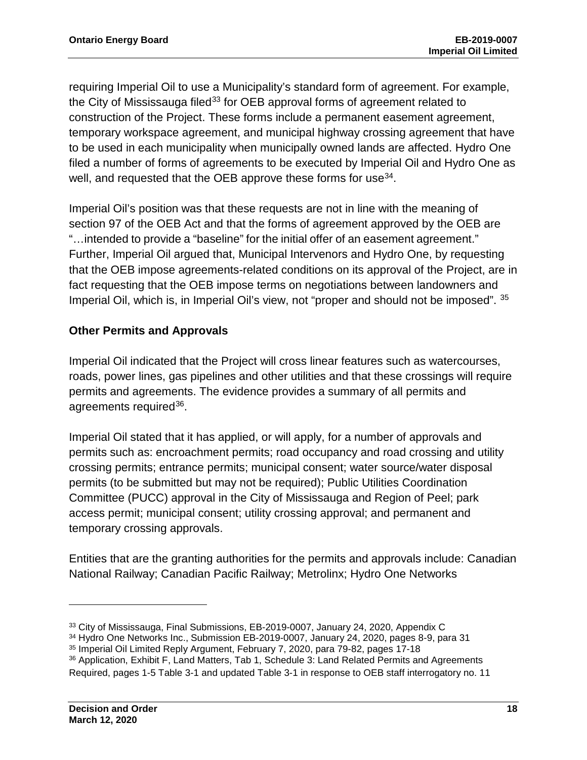requiring Imperial Oil to use a Municipality's standard form of agreement. For example, the City of Mississauga filed<sup>[33](#page-19-0)</sup> for OEB approval forms of agreement related to construction of the Project. These forms include a permanent easement agreement, temporary workspace agreement, and municipal highway crossing agreement that have to be used in each municipality when municipally owned lands are affected. Hydro One filed a number of forms of agreements to be executed by Imperial Oil and Hydro One as well, and requested that the OEB approve these forms for use<sup>[34](#page-19-1)</sup>.

Imperial Oil's position was that these requests are not in line with the meaning of section 97 of the OEB Act and that the forms of agreement approved by the OEB are "…intended to provide a "baseline" for the initial offer of an easement agreement." Further, Imperial Oil argued that, Municipal Intervenors and Hydro One, by requesting that the OEB impose agreements-related conditions on its approval of the Project, are in fact requesting that the OEB impose terms on negotiations between landowners and Imperial Oil, which is, in Imperial Oil's view, not "proper and should not be imposed". [35](#page-19-2)

#### **Other Permits and Approvals**

Imperial Oil indicated that the Project will cross linear features such as watercourses, roads, power lines, gas pipelines and other utilities and that these crossings will require permits and agreements. The evidence provides a summary of all permits and agreements required<sup>[36](#page-19-3)</sup>.

Imperial Oil stated that it has applied, or will apply, for a number of approvals and permits such as: encroachment permits; road occupancy and road crossing and utility crossing permits; entrance permits; municipal consent; water source/water disposal permits (to be submitted but may not be required); Public Utilities Coordination Committee (PUCC) approval in the City of Mississauga and Region of Peel; park access permit; municipal consent; utility crossing approval; and permanent and temporary crossing approvals.

Entities that are the granting authorities for the permits and approvals include: Canadian National Railway; Canadian Pacific Railway; Metrolinx; Hydro One Networks

<span id="page-19-0"></span><sup>&</sup>lt;sup>33</sup> City of Mississauga, Final Submissions, EB-2019-0007, January 24, 2020, Appendix C

<span id="page-19-1"></span><sup>34</sup> Hydro One Networks Inc., Submission EB-2019-0007, January 24, 2020, pages 8-9, para 31

<span id="page-19-2"></span><sup>35</sup> Imperial Oil Limited Reply Argument, February 7, 2020, para 79-82, pages 17-18

<span id="page-19-3"></span><sup>36</sup> Application, Exhibit F, Land Matters, Tab 1, Schedule 3: Land Related Permits and Agreements Required, pages 1-5 Table 3-1 and updated Table 3-1 in response to OEB staff interrogatory no. 11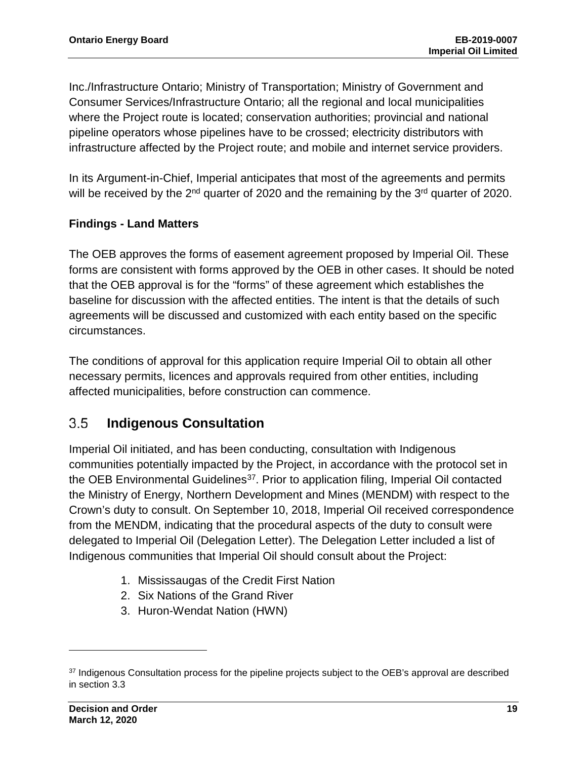Inc./Infrastructure Ontario; Ministry of Transportation; Ministry of Government and Consumer Services/Infrastructure Ontario; all the regional and local municipalities where the Project route is located; conservation authorities; provincial and national pipeline operators whose pipelines have to be crossed; electricity distributors with infrastructure affected by the Project route; and mobile and internet service providers.

In its Argument-in-Chief, Imperial anticipates that most of the agreements and permits will be received by the 2<sup>nd</sup> quarter of 2020 and the remaining by the 3<sup>rd</sup> quarter of 2020.

#### **Findings - Land Matters**

The OEB approves the forms of easement agreement proposed by Imperial Oil. These forms are consistent with forms approved by the OEB in other cases. It should be noted that the OEB approval is for the "forms" of these agreement which establishes the baseline for discussion with the affected entities. The intent is that the details of such agreements will be discussed and customized with each entity based on the specific circumstances.

The conditions of approval for this application require Imperial Oil to obtain all other necessary permits, licences and approvals required from other entities, including affected municipalities, before construction can commence.

#### <span id="page-20-0"></span> $3.5$ **Indigenous Consultation**

Imperial Oil initiated, and has been conducting, consultation with Indigenous communities potentially impacted by the Project, in accordance with the protocol set in the OEB Environmental Guidelines<sup>37</sup>. Prior to application filing, Imperial Oil contacted the Ministry of Energy, Northern Development and Mines (MENDM) with respect to the Crown's duty to consult. On September 10, 2018, Imperial Oil received correspondence from the MENDM, indicating that the procedural aspects of the duty to consult were delegated to Imperial Oil (Delegation Letter). The Delegation Letter included a list of Indigenous communities that Imperial Oil should consult about the Project:

- 1. Mississaugas of the Credit First Nation
- 2. Six Nations of the Grand River
- 3. Huron-Wendat Nation (HWN)

<span id="page-20-1"></span><sup>&</sup>lt;sup>37</sup> Indigenous Consultation process for the pipeline projects subject to the OEB's approval are described in section 3.3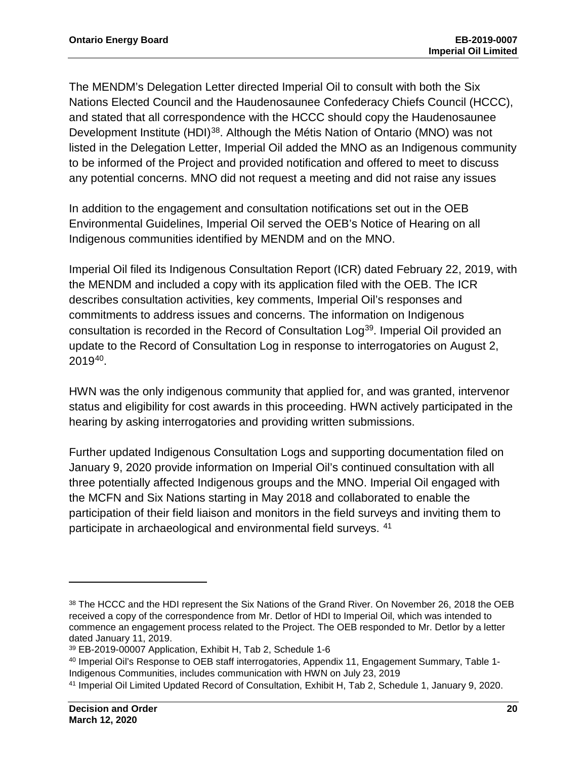The MENDM's Delegation Letter directed Imperial Oil to consult with both the Six Nations Elected Council and the Haudenosaunee Confederacy Chiefs Council (HCCC), and stated that all correspondence with the HCCC should copy the Haudenosaunee Development Institute (HDI)<sup>[38](#page-21-0)</sup>. Although the Métis Nation of Ontario (MNO) was not listed in the Delegation Letter, Imperial Oil added the MNO as an Indigenous community to be informed of the Project and provided notification and offered to meet to discuss any potential concerns. MNO did not request a meeting and did not raise any issues

In addition to the engagement and consultation notifications set out in the OEB Environmental Guidelines, Imperial Oil served the OEB's Notice of Hearing on all Indigenous communities identified by MENDM and on the MNO.

Imperial Oil filed its Indigenous Consultation Report (ICR) dated February 22, 2019, with the MENDM and included a copy with its application filed with the OEB. The ICR describes consultation activities, key comments, Imperial Oil's responses and commitments to address issues and concerns. The information on Indigenous consultation is recorded in the Record of Consultation Log<sup>39</sup>. Imperial Oil provided an update to the Record of Consultation Log in response to interrogatories on August 2, 2019[40](#page-21-2).

HWN was the only indigenous community that applied for, and was granted, intervenor status and eligibility for cost awards in this proceeding. HWN actively participated in the hearing by asking interrogatories and providing written submissions.

Further updated Indigenous Consultation Logs and supporting documentation filed on January 9, 2020 provide information on Imperial Oil's continued consultation with all three potentially affected Indigenous groups and the MNO. Imperial Oil engaged with the MCFN and Six Nations starting in May 2018 and collaborated to enable the participation of their field liaison and monitors in the field surveys and inviting them to participate in archaeological and environmental field surveys. [41](#page-21-3)

<span id="page-21-0"></span><sup>38</sup> The HCCC and the HDI represent the Six Nations of the Grand River. On November 26, 2018 the OEB received a copy of the correspondence from Mr. Detlor of HDI to Imperial Oil, which was intended to commence an engagement process related to the Project. The OEB responded to Mr. Detlor by a letter dated January 11, 2019.

<span id="page-21-1"></span><sup>39</sup> EB-2019-00007 Application, Exhibit H, Tab 2, Schedule 1-6

<span id="page-21-2"></span><sup>40</sup> Imperial Oil's Response to OEB staff interrogatories, Appendix 11, Engagement Summary, Table 1- Indigenous Communities, includes communication with HWN on July 23, 2019

<span id="page-21-3"></span><sup>41</sup> Imperial Oil Limited Updated Record of Consultation, Exhibit H, Tab 2, Schedule 1, January 9, 2020.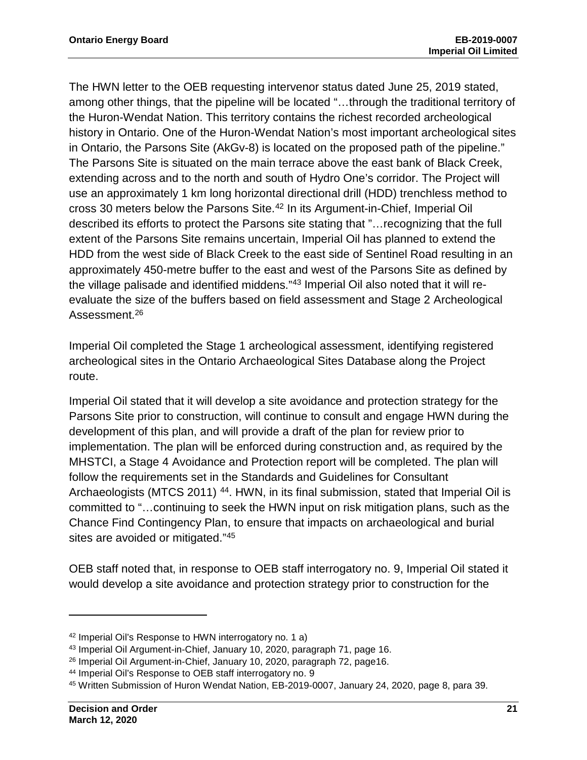The HWN letter to the OEB requesting intervenor status dated June 25, 2019 stated, among other things, that the pipeline will be located "…through the traditional territory of the Huron-Wendat Nation. This territory contains the richest recorded archeological history in Ontario. One of the Huron-Wendat Nation's most important archeological sites in Ontario, the Parsons Site (AkGv-8) is located on the proposed path of the pipeline." The Parsons Site is situated on the main terrace above the east bank of Black Creek, extending across and to the north and south of Hydro One's corridor. The Project will use an approximately 1 km long horizontal directional drill (HDD) trenchless method to cross 30 meters below the Parsons Site.[42](#page-22-0) In its Argument-in-Chief, Imperial Oil described its efforts to protect the Parsons site stating that "…recognizing that the full extent of the Parsons Site remains uncertain, Imperial Oil has planned to extend the HDD from the west side of Black Creek to the east side of Sentinel Road resulting in an approximately 450-metre buffer to the east and west of the Parsons Site as defined by the village palisade and identified middens."[43](#page-22-1) Imperial Oil also noted that it will reevaluate the size of the buffers based on field assessment and Stage 2 Archeological Assessment.<sup>26</sup>

Imperial Oil completed the Stage 1 archeological assessment, identifying registered archeological sites in the Ontario Archaeological Sites Database along the Project route.

Imperial Oil stated that it will develop a site avoidance and protection strategy for the Parsons Site prior to construction, will continue to consult and engage HWN during the development of this plan, and will provide a draft of the plan for review prior to implementation. The plan will be enforced during construction and, as required by the MHSTCI, a Stage 4 Avoidance and Protection report will be completed. The plan will follow the requirements set in the Standards and Guidelines for Consultant Archaeologists (MTCS 2011) <sup>44</sup>. HWN, in its final submission, stated that Imperial Oil is committed to "…continuing to seek the HWN input on risk mitigation plans, such as the Chance Find Contingency Plan, to ensure that impacts on archaeological and burial sites are avoided or mitigated."[45](#page-22-3)

OEB staff noted that, in response to OEB staff interrogatory no. 9, Imperial Oil stated it would develop a site avoidance and protection strategy prior to construction for the

<span id="page-22-0"></span><sup>42</sup> Imperial Oil's Response to HWN interrogatory no. 1 a)

<span id="page-22-1"></span><sup>43</sup> Imperial Oil Argument-in-Chief, January 10, 2020, paragraph 71, page 16.

<sup>26</sup> Imperial Oil Argument-in-Chief, January 10, 2020, paragraph 72, page16.

<span id="page-22-3"></span><span id="page-22-2"></span><sup>&</sup>lt;sup>44</sup> Imperial Oil's Response to OEB staff interrogatory no. 9<br><sup>45</sup> Written Submission of Huron Wendat Nation, EB-2019-0007, January 24, 2020, page 8, para 39.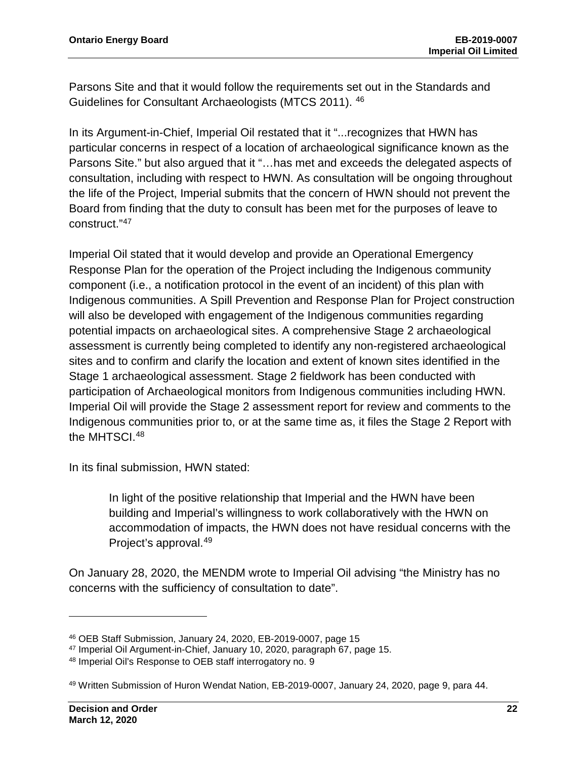Parsons Site and that it would follow the requirements set out in the Standards and Guidelines for Consultant Archaeologists (MTCS 2011). [46](#page-23-0)

In its Argument-in-Chief, Imperial Oil restated that it "...recognizes that HWN has particular concerns in respect of a location of archaeological significance known as the Parsons Site." but also argued that it "…has met and exceeds the delegated aspects of consultation, including with respect to HWN. As consultation will be ongoing throughout the life of the Project, Imperial submits that the concern of HWN should not prevent the Board from finding that the duty to consult has been met for the purposes of leave to construct."[47](#page-23-1)

Imperial Oil stated that it would develop and provide an Operational Emergency Response Plan for the operation of the Project including the Indigenous community component (i.e., a notification protocol in the event of an incident) of this plan with Indigenous communities. A Spill Prevention and Response Plan for Project construction will also be developed with engagement of the Indigenous communities regarding potential impacts on archaeological sites. A comprehensive Stage 2 archaeological assessment is currently being completed to identify any non-registered archaeological sites and to confirm and clarify the location and extent of known sites identified in the Stage 1 archaeological assessment. Stage 2 fieldwork has been conducted with participation of Archaeological monitors from Indigenous communities including HWN. Imperial Oil will provide the Stage 2 assessment report for review and comments to the Indigenous communities prior to, or at the same time as, it files the Stage 2 Report with the MHTSCI. [48](#page-23-2)

In its final submission, HWN stated:

In light of the positive relationship that Imperial and the HWN have been building and Imperial's willingness to work collaboratively with the HWN on accommodation of impacts, the HWN does not have residual concerns with the Project's approval.[49](#page-23-3)

On January 28, 2020, the MENDM wrote to Imperial Oil advising "the Ministry has no concerns with the sufficiency of consultation to date".

<span id="page-23-0"></span><sup>46</sup> OEB Staff Submission, January 24, 2020, EB-2019-0007, page 15

<span id="page-23-1"></span><sup>47</sup> Imperial Oil Argument-in-Chief, January 10, 2020, paragraph 67, page 15.

<span id="page-23-2"></span><sup>48</sup> Imperial Oil's Response to OEB staff interrogatory no. 9

<span id="page-23-3"></span><sup>49</sup> Written Submission of Huron Wendat Nation, EB-2019-0007, January 24, 2020, page 9, para 44.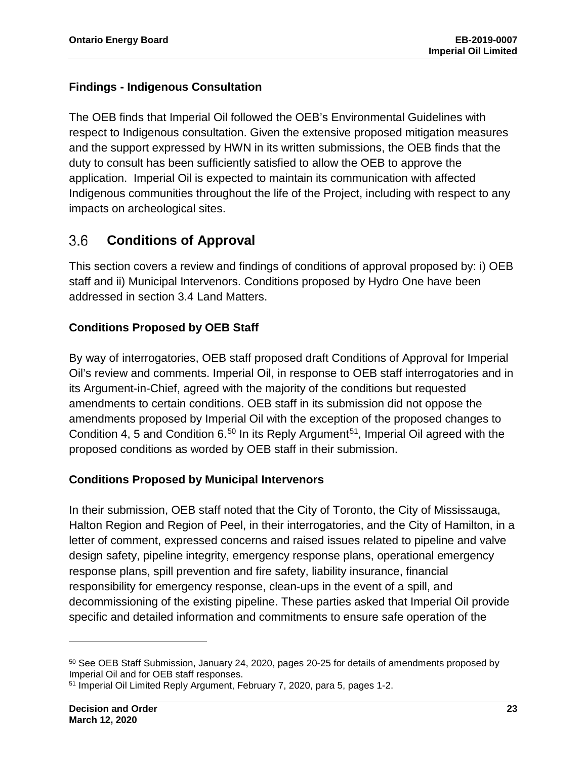### **Findings - Indigenous Consultation**

The OEB finds that Imperial Oil followed the OEB's Environmental Guidelines with respect to Indigenous consultation. Given the extensive proposed mitigation measures and the support expressed by HWN in its written submissions, the OEB finds that the duty to consult has been sufficiently satisfied to allow the OEB to approve the application. Imperial Oil is expected to maintain its communication with affected Indigenous communities throughout the life of the Project, including with respect to any impacts on archeological sites.

#### <span id="page-24-0"></span> $3.6$ **Conditions of Approval**

This section covers a review and findings of conditions of approval proposed by: i) OEB staff and ii) Municipal Intervenors. Conditions proposed by Hydro One have been addressed in section 3.4 Land Matters.

### **Conditions Proposed by OEB Staff**

By way of interrogatories, OEB staff proposed draft Conditions of Approval for Imperial Oil's review and comments. Imperial Oil, in response to OEB staff interrogatories and in its Argument-in-Chief, agreed with the majority of the conditions but requested amendments to certain conditions. OEB staff in its submission did not oppose the amendments proposed by Imperial Oil with the exception of the proposed changes to Condition 4, 5 and Condition 6.<sup>[50](#page-24-1)</sup> In its Reply Argument<sup>51</sup>, Imperial Oil agreed with the proposed conditions as worded by OEB staff in their submission.

### **Conditions Proposed by Municipal Intervenors**

In their submission, OEB staff noted that the City of Toronto, the City of Mississauga, Halton Region and Region of Peel, in their interrogatories, and the City of Hamilton, in a letter of comment, expressed concerns and raised issues related to pipeline and valve design safety, pipeline integrity, emergency response plans, operational emergency response plans, spill prevention and fire safety, liability insurance, financial responsibility for emergency response, clean-ups in the event of a spill, and decommissioning of the existing pipeline. These parties asked that Imperial Oil provide specific and detailed information and commitments to ensure safe operation of the

<span id="page-24-1"></span><sup>&</sup>lt;sup>50</sup> See OEB Staff Submission, January 24, 2020, pages 20-25 for details of amendments proposed by Imperial Oil and for OEB staff responses.

<span id="page-24-2"></span><sup>51</sup> Imperial Oil Limited Reply Argument, February 7, 2020, para 5, pages 1-2.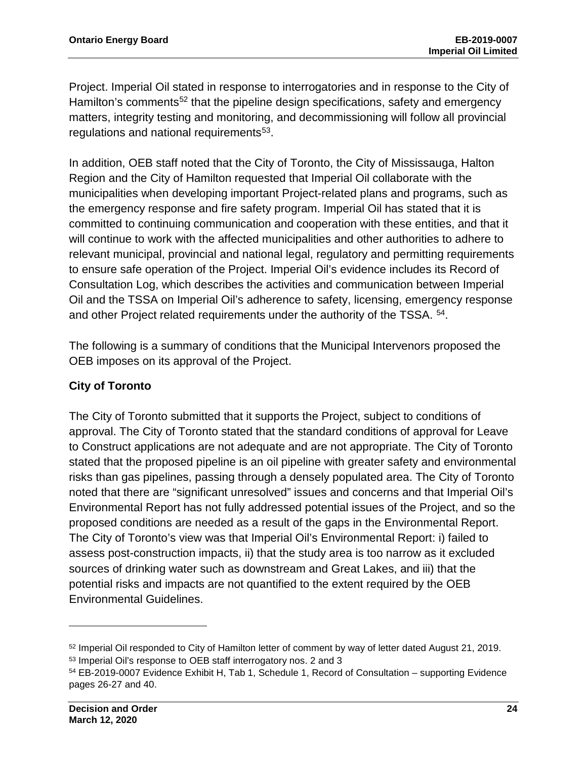Project. Imperial Oil stated in response to interrogatories and in response to the City of Hamilton's comments<sup>[52](#page-25-0)</sup> that the pipeline design specifications, safety and emergency matters, integrity testing and monitoring, and decommissioning will follow all provincial regulations and national requirements<sup>[53](#page-25-1)</sup>.

In addition, OEB staff noted that the City of Toronto, the City of Mississauga, Halton Region and the City of Hamilton requested that Imperial Oil collaborate with the municipalities when developing important Project-related plans and programs, such as the emergency response and fire safety program. Imperial Oil has stated that it is committed to continuing communication and cooperation with these entities, and that it will continue to work with the affected municipalities and other authorities to adhere to relevant municipal, provincial and national legal, regulatory and permitting requirements to ensure safe operation of the Project. Imperial Oil's evidence includes its Record of Consultation Log, which describes the activities and communication between Imperial Oil and the TSSA on Imperial Oil's adherence to safety, licensing, emergency response and other Project related requirements under the authority of the TSSA. [54](#page-25-2).

The following is a summary of conditions that the Municipal Intervenors proposed the OEB imposes on its approval of the Project.

#### **City of Toronto**

The City of Toronto submitted that it supports the Project, subject to conditions of approval. The City of Toronto stated that the standard conditions of approval for Leave to Construct applications are not adequate and are not appropriate. The City of Toronto stated that the proposed pipeline is an oil pipeline with greater safety and environmental risks than gas pipelines, passing through a densely populated area. The City of Toronto noted that there are "significant unresolved" issues and concerns and that Imperial Oil's Environmental Report has not fully addressed potential issues of the Project, and so the proposed conditions are needed as a result of the gaps in the Environmental Report. The City of Toronto's view was that Imperial Oil's Environmental Report: i) failed to assess post-construction impacts, ii) that the study area is too narrow as it excluded sources of drinking water such as downstream and Great Lakes, and iii) that the potential risks and impacts are not quantified to the extent required by the OEB Environmental Guidelines.

<span id="page-25-0"></span><sup>52</sup> Imperial Oil responded to City of Hamilton letter of comment by way of letter dated August 21, 2019. <sup>53</sup> Imperial Oil's response to OEB staff interrogatory nos. 2 and 3

<span id="page-25-2"></span><span id="page-25-1"></span><sup>54</sup> EB-2019-0007 Evidence Exhibit H, Tab 1, Schedule 1, Record of Consultation – supporting Evidence pages 26-27 and 40.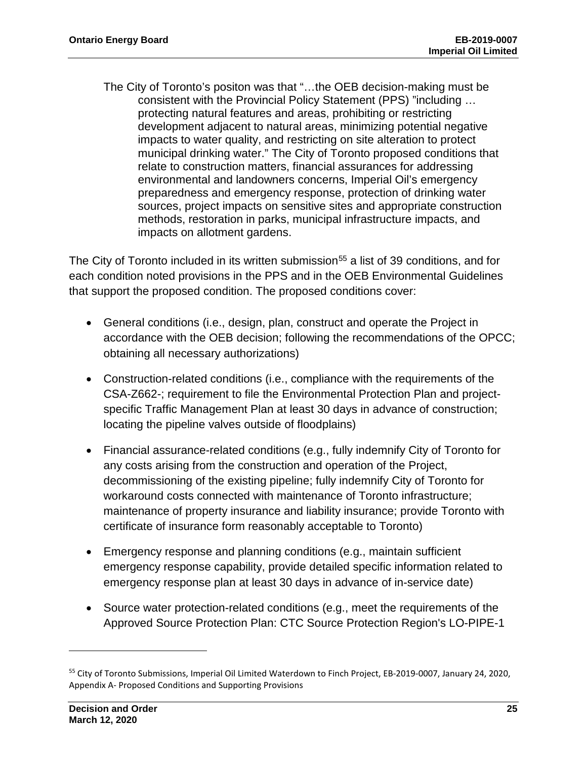The City of Toronto's positon was that "…the OEB decision-making must be consistent with the Provincial Policy Statement (PPS) "including … protecting natural features and areas, prohibiting or restricting development adjacent to natural areas, minimizing potential negative impacts to water quality, and restricting on site alteration to protect municipal drinking water." The City of Toronto proposed conditions that relate to construction matters, financial assurances for addressing environmental and landowners concerns, Imperial Oil's emergency preparedness and emergency response, protection of drinking water sources, project impacts on sensitive sites and appropriate construction methods, restoration in parks, municipal infrastructure impacts, and impacts on allotment gardens.

The City of Toronto included in its written submission<sup>[55](#page-26-0)</sup> a list of 39 conditions, and for each condition noted provisions in the PPS and in the OEB Environmental Guidelines that support the proposed condition. The proposed conditions cover:

- General conditions (i.e., design, plan, construct and operate the Project in accordance with the OEB decision; following the recommendations of the OPCC; obtaining all necessary authorizations)
- Construction-related conditions (i.e., compliance with the requirements of the CSA-Z662-; requirement to file the Environmental Protection Plan and projectspecific Traffic Management Plan at least 30 days in advance of construction; locating the pipeline valves outside of floodplains)
- Financial assurance-related conditions (e.g., fully indemnify City of Toronto for any costs arising from the construction and operation of the Project, decommissioning of the existing pipeline; fully indemnify City of Toronto for workaround costs connected with maintenance of Toronto infrastructure; maintenance of property insurance and liability insurance; provide Toronto with certificate of insurance form reasonably acceptable to Toronto)
- Emergency response and planning conditions (e.g., maintain sufficient emergency response capability, provide detailed specific information related to emergency response plan at least 30 days in advance of in-service date)
- Source water protection-related conditions (e.g., meet the requirements of the Approved Source Protection Plan: CTC Source Protection Region's LO-PIPE-1

<span id="page-26-0"></span><sup>55</sup> City of Toronto Submissions, Imperial Oil Limited Waterdown to Finch Project, EB-2019-0007, January 24, 2020, Appendix A- Proposed Conditions and Supporting Provisions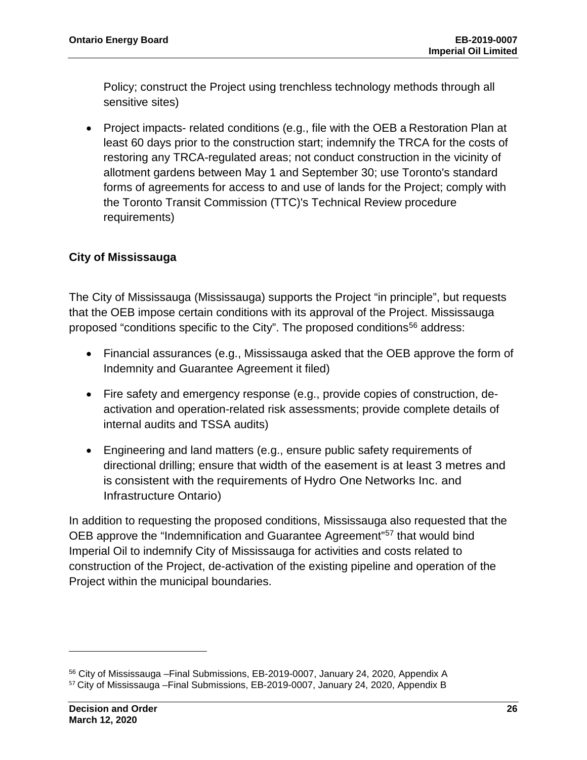Policy; construct the Project using trenchless technology methods through all sensitive sites)

• Project impacts- related conditions (e.g., file with the OEB a Restoration Plan at least 60 days prior to the construction start; indemnify the TRCA for the costs of restoring any TRCA-regulated areas; not conduct construction in the vicinity of allotment gardens between May 1 and September 30; use Toronto's standard forms of agreements for access to and use of lands for the Project; comply with the Toronto Transit Commission (TTC)'s Technical Review procedure requirements)

#### **City of Mississauga**

The City of Mississauga (Mississauga) supports the Project "in principle", but requests that the OEB impose certain conditions with its approval of the Project. Mississauga proposed "conditions specific to the City". The proposed conditions<sup>[56](#page-27-0)</sup> address:

- Financial assurances (e.g., Mississauga asked that the OEB approve the form of Indemnity and Guarantee Agreement it filed)
- Fire safety and emergency response (e.g., provide copies of construction, deactivation and operation-related risk assessments; provide complete details of internal audits and TSSA audits)
- Engineering and land matters (e.g., ensure public safety requirements of directional drilling; ensure that width of the easement is at least 3 metres and is consistent with the requirements of Hydro One Networks Inc. and Infrastructure Ontario)

In addition to requesting the proposed conditions, Mississauga also requested that the OEB approve the "Indemnification and Guarantee Agreement"[57](#page-27-1) that would bind Imperial Oil to indemnify City of Mississauga for activities and costs related to construction of the Project, de-activation of the existing pipeline and operation of the Project within the municipal boundaries.

<span id="page-27-1"></span><span id="page-27-0"></span><sup>56</sup> City of Mississauga –Final Submissions, EB-2019-0007, January 24, 2020, Appendix A <sup>57</sup> City of Mississauga –Final Submissions, EB-2019-0007, January 24, 2020, Appendix B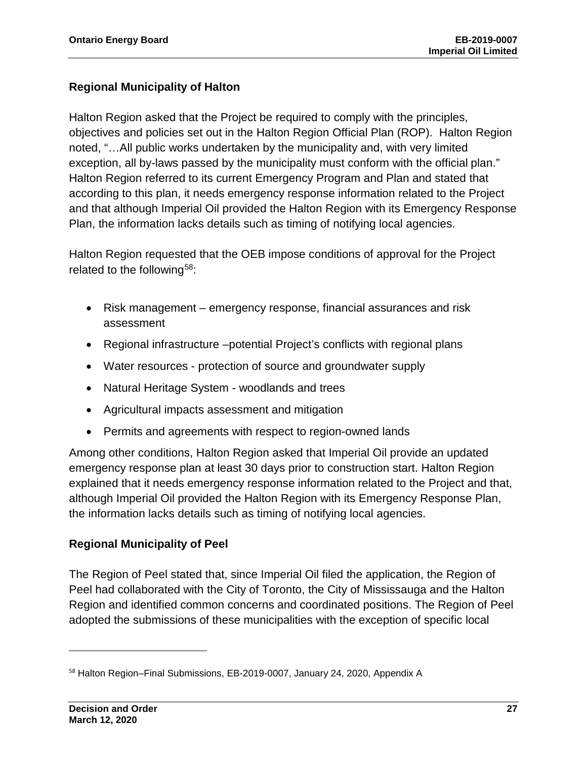#### **Regional Municipality of Halton**

Halton Region asked that the Project be required to comply with the principles, objectives and policies set out in the Halton Region Official Plan (ROP). Halton Region noted, "…All public works undertaken by the municipality and, with very limited exception, all by-laws passed by the municipality must conform with the official plan." Halton Region referred to its current Emergency Program and Plan and stated that according to this plan, it needs emergency response information related to the Project and that although Imperial Oil provided the Halton Region with its Emergency Response Plan, the information lacks details such as timing of notifying local agencies.

Halton Region requested that the OEB impose conditions of approval for the Project related to the following<sup>[58](#page-28-0)</sup>:

- Risk management emergency response, financial assurances and risk assessment
- Regional infrastructure –potential Project's conflicts with regional plans
- Water resources protection of source and groundwater supply
- Natural Heritage System woodlands and trees
- Agricultural impacts assessment and mitigation
- Permits and agreements with respect to region-owned lands

Among other conditions, Halton Region asked that Imperial Oil provide an updated emergency response plan at least 30 days prior to construction start. Halton Region explained that it needs emergency response information related to the Project and that, although Imperial Oil provided the Halton Region with its Emergency Response Plan, the information lacks details such as timing of notifying local agencies.

#### **Regional Municipality of Peel**

The Region of Peel stated that, since Imperial Oil filed the application, the Region of Peel had collaborated with the City of Toronto, the City of Mississauga and the Halton Region and identified common concerns and coordinated positions. The Region of Peel adopted the submissions of these municipalities with the exception of specific local

<span id="page-28-0"></span><sup>58</sup> Halton Region–Final Submissions, EB-2019-0007, January 24, 2020, Appendix A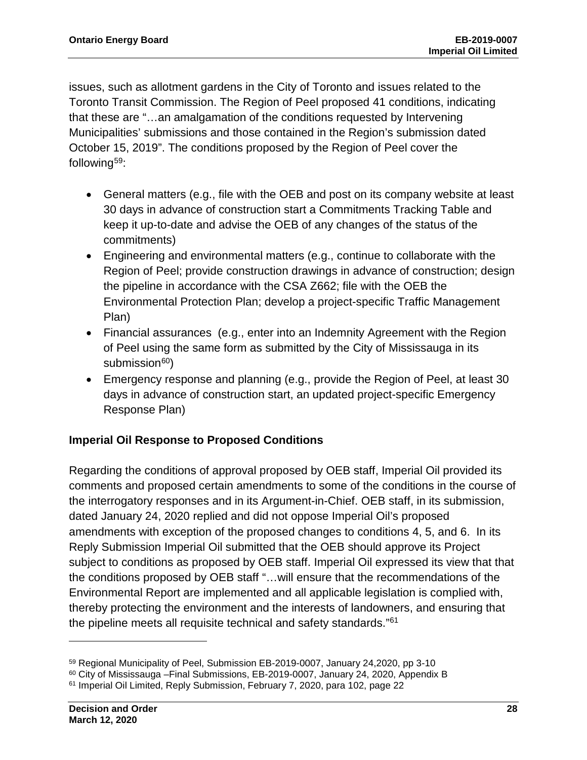issues, such as allotment gardens in the City of Toronto and issues related to the Toronto Transit Commission. The Region of Peel proposed 41 conditions, indicating that these are "…an amalgamation of the conditions requested by Intervening Municipalities' submissions and those contained in the Region's submission dated October 15, 2019". The conditions proposed by the Region of Peel cover the following<sup>[59](#page-29-0)</sup>:

- General matters (e.g., file with the OEB and post on its company website at least 30 days in advance of construction start a Commitments Tracking Table and keep it up-to-date and advise the OEB of any changes of the status of the commitments)
- Engineering and environmental matters (e.g., continue to collaborate with the Region of Peel; provide construction drawings in advance of construction; design the pipeline in accordance with the CSA Z662; file with the OEB the Environmental Protection Plan; develop a project-specific Traffic Management Plan)
- Financial assurances (e.g., enter into an Indemnity Agreement with the Region of Peel using the same form as submitted by the City of Mississauga in its submission<sup>60</sup>)
- Emergency response and planning (e.g., provide the Region of Peel, at least 30 days in advance of construction start, an updated project-specific Emergency Response Plan)

### **Imperial Oil Response to Proposed Conditions**

Regarding the conditions of approval proposed by OEB staff, Imperial Oil provided its comments and proposed certain amendments to some of the conditions in the course of the interrogatory responses and in its Argument-in-Chief. OEB staff, in its submission, dated January 24, 2020 replied and did not oppose Imperial Oil's proposed amendments with exception of the proposed changes to conditions 4, 5, and 6. In its Reply Submission Imperial Oil submitted that the OEB should approve its Project subject to conditions as proposed by OEB staff. Imperial Oil expressed its view that that the conditions proposed by OEB staff "…will ensure that the recommendations of the Environmental Report are implemented and all applicable legislation is complied with, thereby protecting the environment and the interests of landowners, and ensuring that the pipeline meets all requisite technical and safety standards."[61](#page-29-2)

<span id="page-29-0"></span><sup>59</sup> Regional Municipality of Peel, Submission EB-2019-0007, January 24,2020, pp 3-10

<span id="page-29-1"></span> $60$  City of Mississauga –Final Submissions, EB-2019-0007, January 24, 2020, Appendix B

<span id="page-29-2"></span><sup>&</sup>lt;sup>61</sup> Imperial Oil Limited, Reply Submission, February 7, 2020, para 102, page 22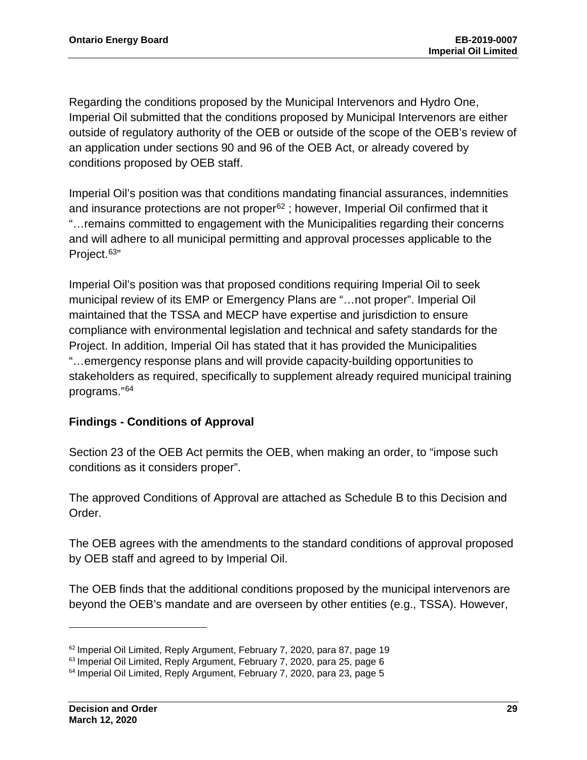Regarding the conditions proposed by the Municipal Intervenors and Hydro One, Imperial Oil submitted that the conditions proposed by Municipal Intervenors are either outside of regulatory authority of the OEB or outside of the scope of the OEB's review of an application under sections 90 and 96 of the OEB Act, or already covered by conditions proposed by OEB staff.

Imperial Oil's position was that conditions mandating financial assurances, indemnities and insurance protections are not proper $62$ ; however, Imperial Oil confirmed that it "…remains committed to engagement with the Municipalities regarding their concerns and will adhere to all municipal permitting and approval processes applicable to the Project.<sup>[63](#page-30-1)"</sup>

Imperial Oil's position was that proposed conditions requiring Imperial Oil to seek municipal review of its EMP or Emergency Plans are "…not proper". Imperial Oil maintained that the TSSA and MECP have expertise and jurisdiction to ensure compliance with environmental legislation and technical and safety standards for the Project. In addition, Imperial Oil has stated that it has provided the Municipalities "…emergency response plans and will provide capacity-building opportunities to stakeholders as required, specifically to supplement already required municipal training programs."[64](#page-30-2)

#### **Findings - Conditions of Approval**

Section 23 of the OEB Act permits the OEB, when making an order, to "impose such conditions as it considers proper".

The approved Conditions of Approval are attached as Schedule B to this Decision and Order.

The OEB agrees with the amendments to the standard conditions of approval proposed by OEB staff and agreed to by Imperial Oil.

The OEB finds that the additional conditions proposed by the municipal intervenors are beyond the OEB's mandate and are overseen by other entities (e.g., TSSA). However,

<span id="page-30-0"></span><sup>62</sup> Imperial Oil Limited, Reply Argument, February 7, 2020, para 87, page 19

<span id="page-30-1"></span><sup>&</sup>lt;sup>63</sup> Imperial Oil Limited, Reply Argument, February 7, 2020, para 25, page 6

<span id="page-30-2"></span><sup>64</sup> Imperial Oil Limited, Reply Argument, February 7, 2020, para 23, page 5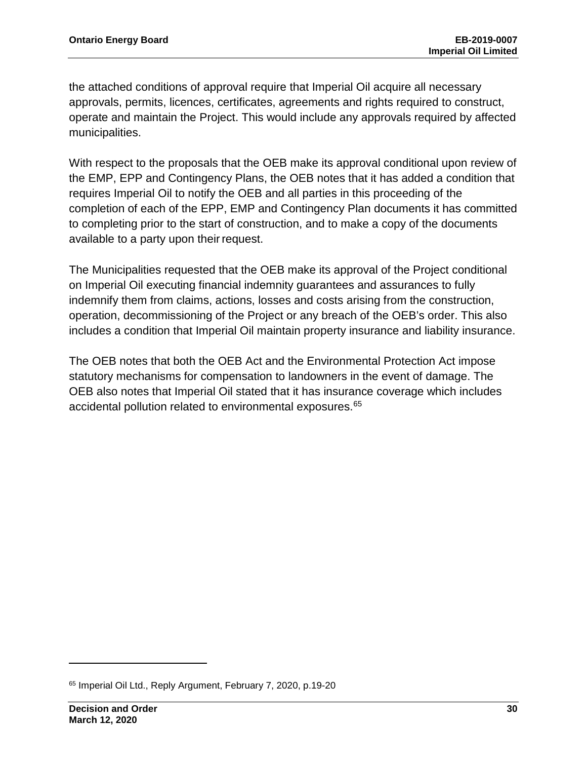the attached conditions of approval require that Imperial Oil acquire all necessary approvals, permits, licences, certificates, agreements and rights required to construct, operate and maintain the Project. This would include any approvals required by affected municipalities.

With respect to the proposals that the OEB make its approval conditional upon review of the EMP, EPP and Contingency Plans, the OEB notes that it has added a condition that requires Imperial Oil to notify the OEB and all parties in this proceeding of the completion of each of the EPP, EMP and Contingency Plan documents it has committed to completing prior to the start of construction, and to make a copy of the documents available to a party upon their request.

The Municipalities requested that the OEB make its approval of the Project conditional on Imperial Oil executing financial indemnity guarantees and assurances to fully indemnify them from claims, actions, losses and costs arising from the construction, operation, decommissioning of the Project or any breach of the OEB's order. This also includes a condition that Imperial Oil maintain property insurance and liability insurance.

The OEB notes that both the OEB Act and the Environmental Protection Act impose statutory mechanisms for compensation to landowners in the event of damage. The OEB also notes that Imperial Oil stated that it has insurance coverage which includes accidental pollution related to environmental exposures.<sup>[65](#page-31-0)</sup>

<span id="page-31-0"></span><sup>65</sup> Imperial Oil Ltd., Reply Argument, February 7, 2020, p.19-20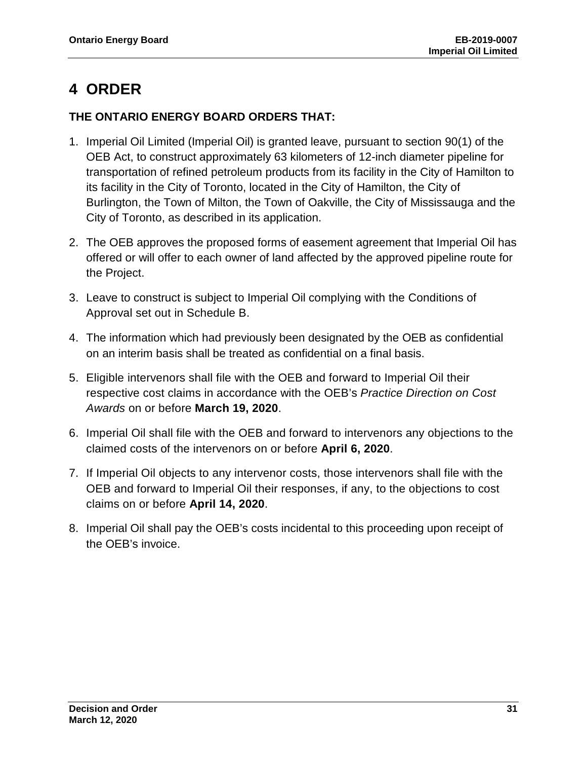## <span id="page-32-0"></span>**4 ORDER**

#### **THE ONTARIO ENERGY BOARD ORDERS THAT:**

- 1. Imperial Oil Limited (Imperial Oil) is granted leave, pursuant to section 90(1) of the OEB Act, to construct approximately 63 kilometers of 12-inch diameter pipeline for transportation of refined petroleum products from its facility in the City of Hamilton to its facility in the City of Toronto, located in the City of Hamilton, the City of Burlington, the Town of Milton, the Town of Oakville, the City of Mississauga and the City of Toronto, as described in its application.
- 2. The OEB approves the proposed forms of easement agreement that Imperial Oil has offered or will offer to each owner of land affected by the approved pipeline route for the Project.
- 3. Leave to construct is subject to Imperial Oil complying with the Conditions of Approval set out in Schedule B.
- 4. The information which had previously been designated by the OEB as confidential on an interim basis shall be treated as confidential on a final basis.
- 5. Eligible intervenors shall file with the OEB and forward to Imperial Oil their respective cost claims in accordance with the OEB's *Practice Direction on Cost Awards* on or before **March 19, 2020**.
- 6. Imperial Oil shall file with the OEB and forward to intervenors any objections to the claimed costs of the intervenors on or before **April 6, 2020**.
- 7. If Imperial Oil objects to any intervenor costs, those intervenors shall file with the OEB and forward to Imperial Oil their responses, if any, to the objections to cost claims on or before **April 14, 2020**.
- 8. Imperial Oil shall pay the OEB's costs incidental to this proceeding upon receipt of the OEB's invoice.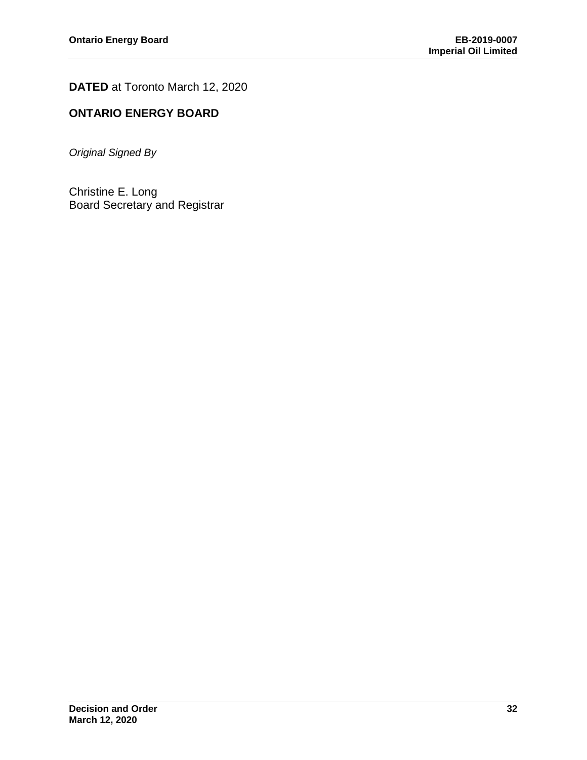**DATED** at Toronto March 12, 2020

## **ONTARIO ENERGY BOARD**

*Original Signed By*

Christine E. Long Board Secretary and Registrar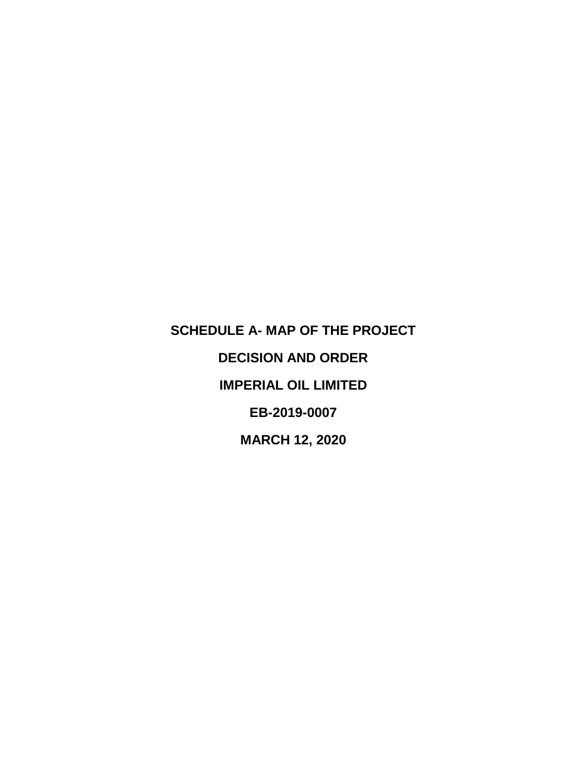<span id="page-34-0"></span>**SCHEDULE A- MAP OF THE PROJECT DECISION AND ORDER IMPERIAL OIL LIMITED EB-2019-0007 MARCH 12, 2020**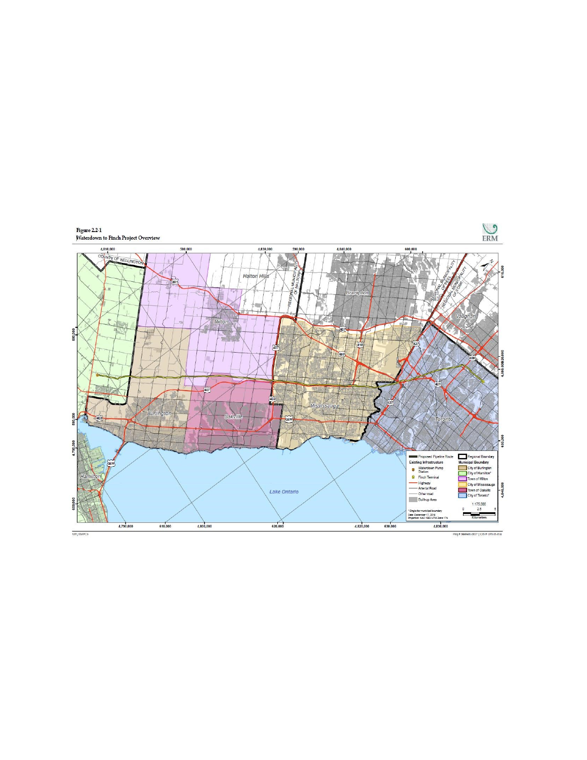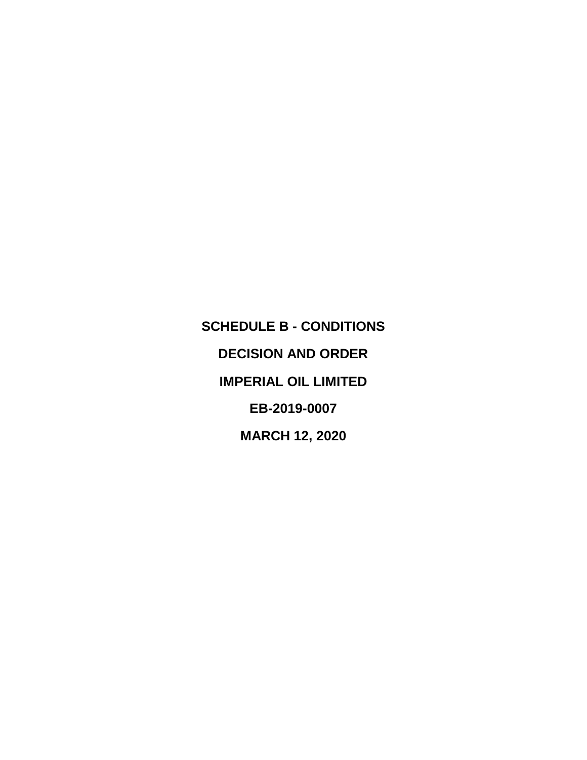<span id="page-36-0"></span>**SCHEDULE B - CONDITIONS DECISION AND ORDER IMPERIAL OIL LIMITED EB-2019-0007 MARCH 12, 2020**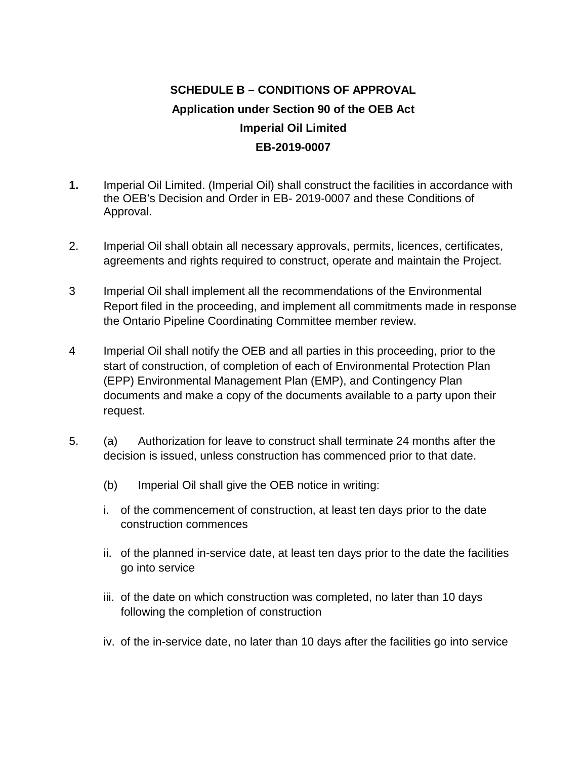## **SCHEDULE B – CONDITIONS OF APPROVAL Application under Section 90 of the OEB Act Imperial Oil Limited EB-2019-0007**

- **1.** Imperial Oil Limited. (Imperial Oil) shall construct the facilities in accordance with the OEB's Decision and Order in EB- 2019-0007 and these Conditions of Approval.
- 2. Imperial Oil shall obtain all necessary approvals, permits, licences, certificates, agreements and rights required to construct, operate and maintain the Project.
- 3 Imperial Oil shall implement all the recommendations of the Environmental Report filed in the proceeding, and implement all commitments made in response the Ontario Pipeline Coordinating Committee member review.
- 4 Imperial Oil shall notify the OEB and all parties in this proceeding, prior to the start of construction, of completion of each of Environmental Protection Plan (EPP) Environmental Management Plan (EMP), and Contingency Plan documents and make a copy of the documents available to a party upon their request.
- 5. (a) Authorization for leave to construct shall terminate 24 months after the decision is issued, unless construction has commenced prior to that date.
	- (b) Imperial Oil shall give the OEB notice in writing:
	- i. of the commencement of construction, at least ten days prior to the date construction commences
	- ii. of the planned in-service date, at least ten days prior to the date the facilities go into service
	- iii. of the date on which construction was completed, no later than 10 days following the completion of construction
	- iv. of the in-service date, no later than 10 days after the facilities go into service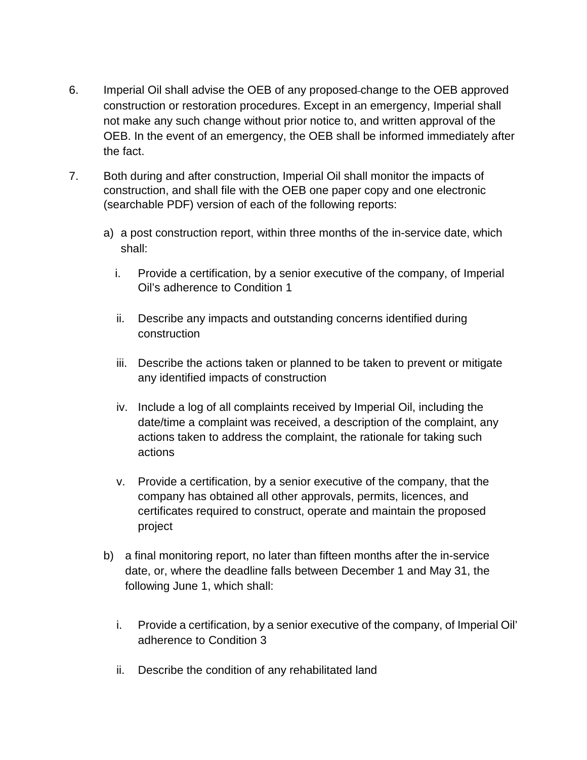- 6. Imperial Oil shall advise the OEB of any proposed change to the OEB approved construction or restoration procedures. Except in an emergency, Imperial shall not make any such change without prior notice to, and written approval of the OEB. In the event of an emergency, the OEB shall be informed immediately after the fact.
- 7. Both during and after construction, Imperial Oil shall monitor the impacts of construction, and shall file with the OEB one paper copy and one electronic (searchable PDF) version of each of the following reports:
	- a) a post construction report, within three months of the in-service date, which shall:
		- i. Provide a certification, by a senior executive of the company, of Imperial Oil's adherence to Condition 1
		- ii. Describe any impacts and outstanding concerns identified during construction
		- iii. Describe the actions taken or planned to be taken to prevent or mitigate any identified impacts of construction
		- iv. Include a log of all complaints received by Imperial Oil, including the date/time a complaint was received, a description of the complaint, any actions taken to address the complaint, the rationale for taking such actions
		- v. Provide a certification, by a senior executive of the company, that the company has obtained all other approvals, permits, licences, and certificates required to construct, operate and maintain the proposed project
	- b) a final monitoring report, no later than fifteen months after the in-service date, or, where the deadline falls between December 1 and May 31, the following June 1, which shall:
		- i. Provide a certification, by a senior executive of the company, of Imperial Oil' adherence to Condition 3
		- ii. Describe the condition of any rehabilitated land